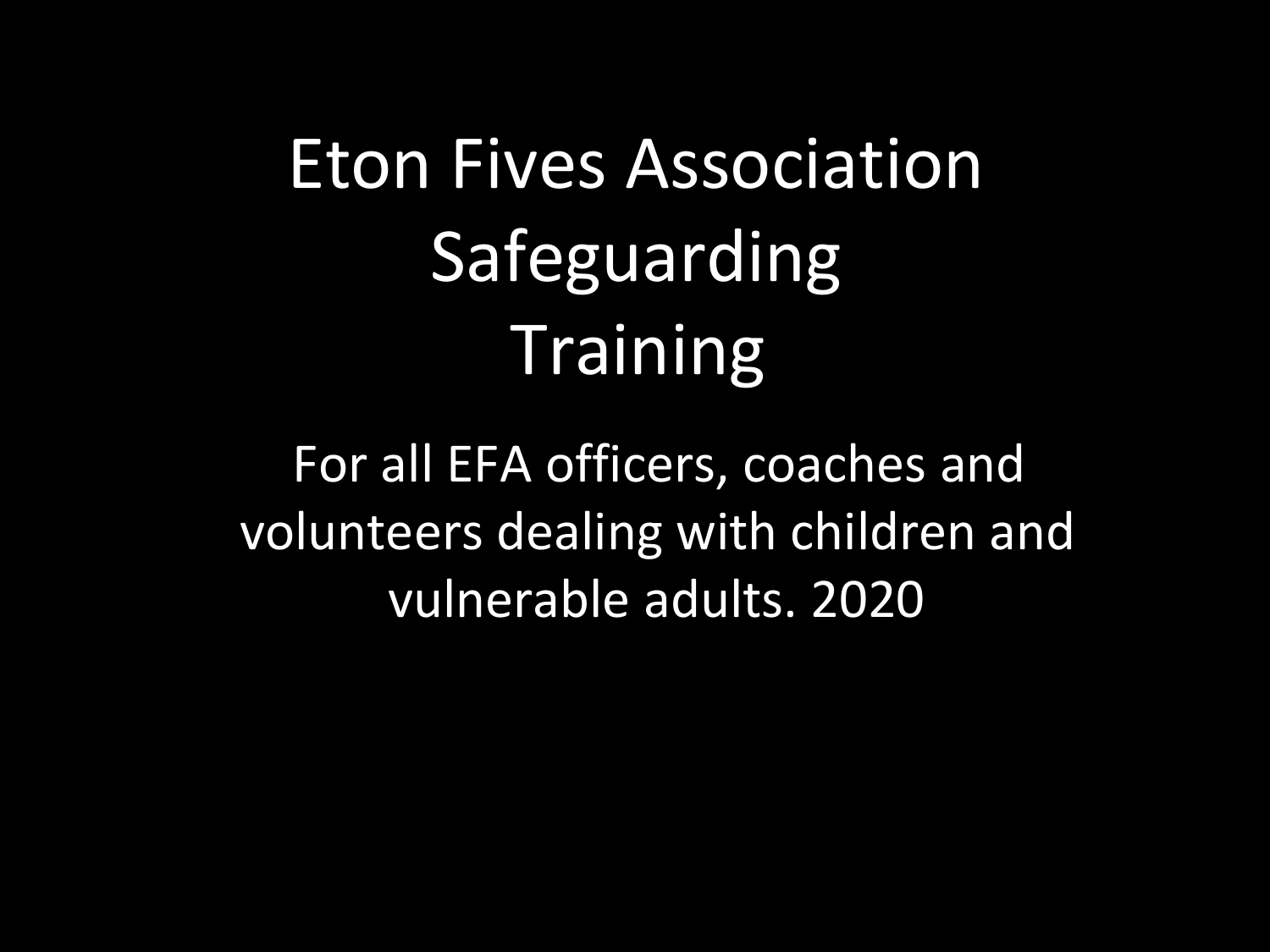# Eton Fives Association Safeguarding **Training**

For all EFA officers, coaches and volunteers dealing with children and vulnerable adults. 2020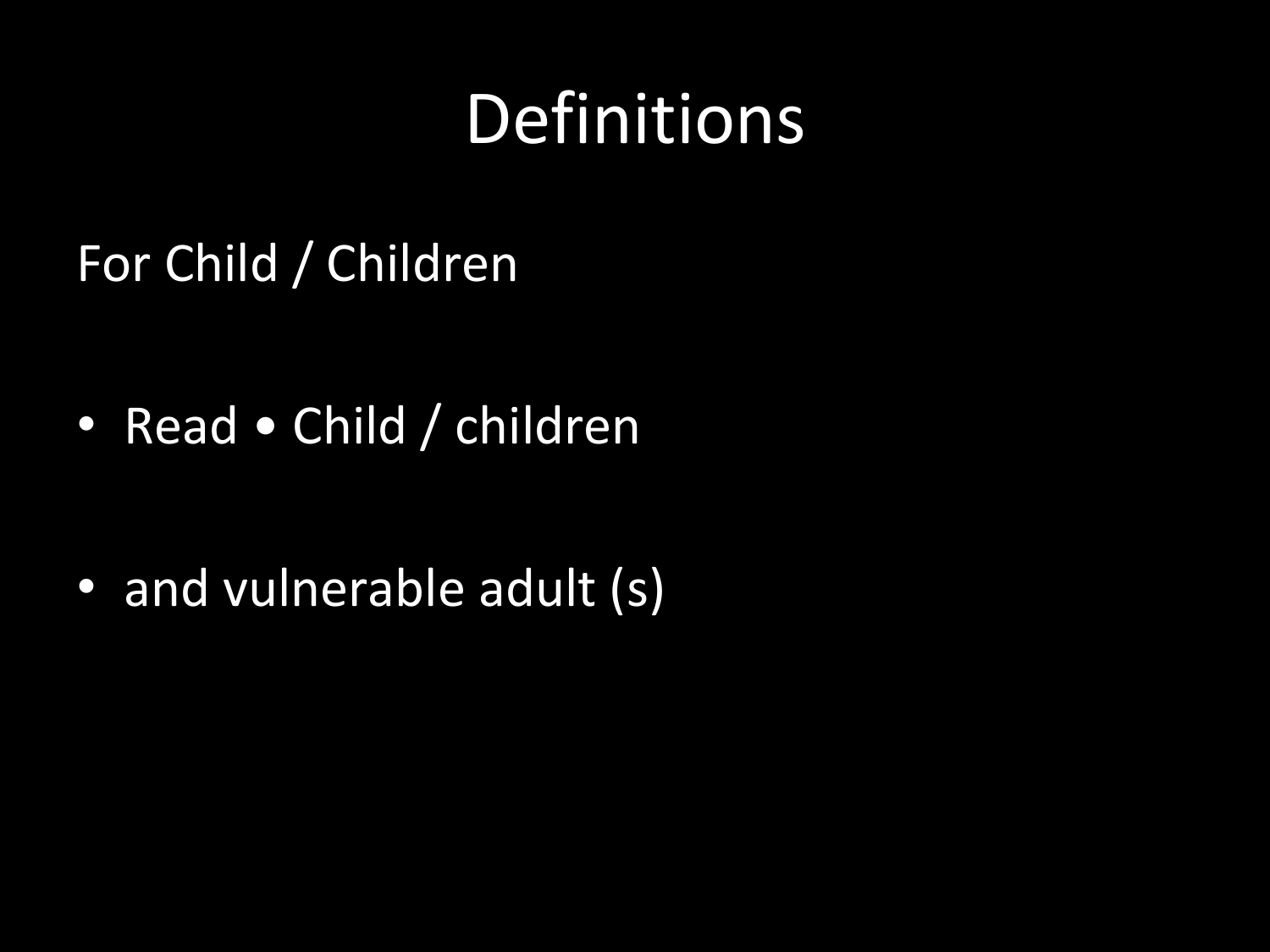#### Definitions

#### For Child / Children

• Read • Child / children

• and vulnerable adult (s)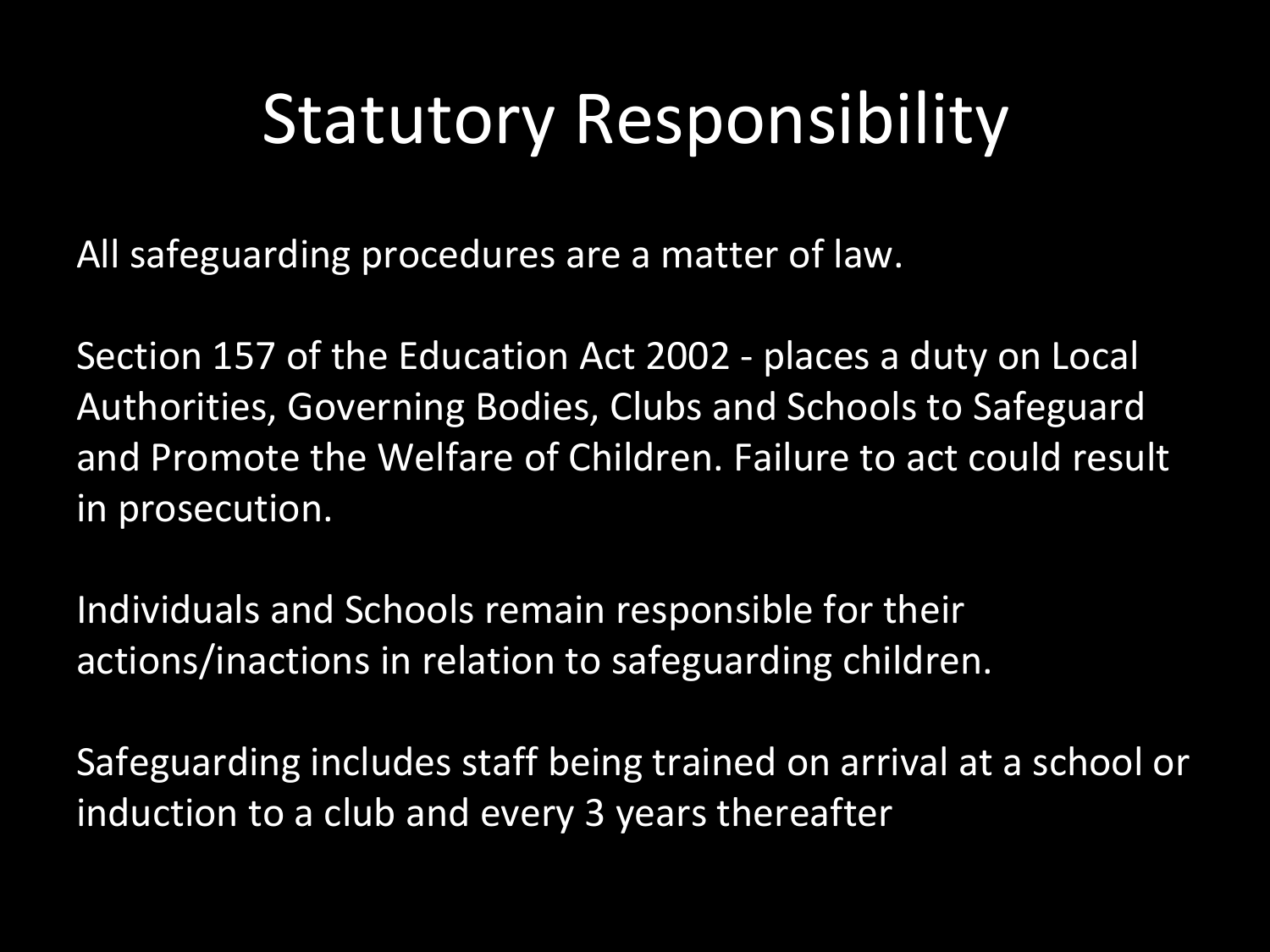### Statutory Responsibility

All safeguarding procedures are a matter of law.

Section 157 of the Education Act 2002 - places a duty on Local Authorities, Governing Bodies, Clubs and Schools to Safeguard and Promote the Welfare of Children. Failure to act could result in prosecution.

Individuals and Schools remain responsible for their actions/inactions in relation to safeguarding children.

Safeguarding includes staff being trained on arrival at a school or induction to a club and every 3 years thereafter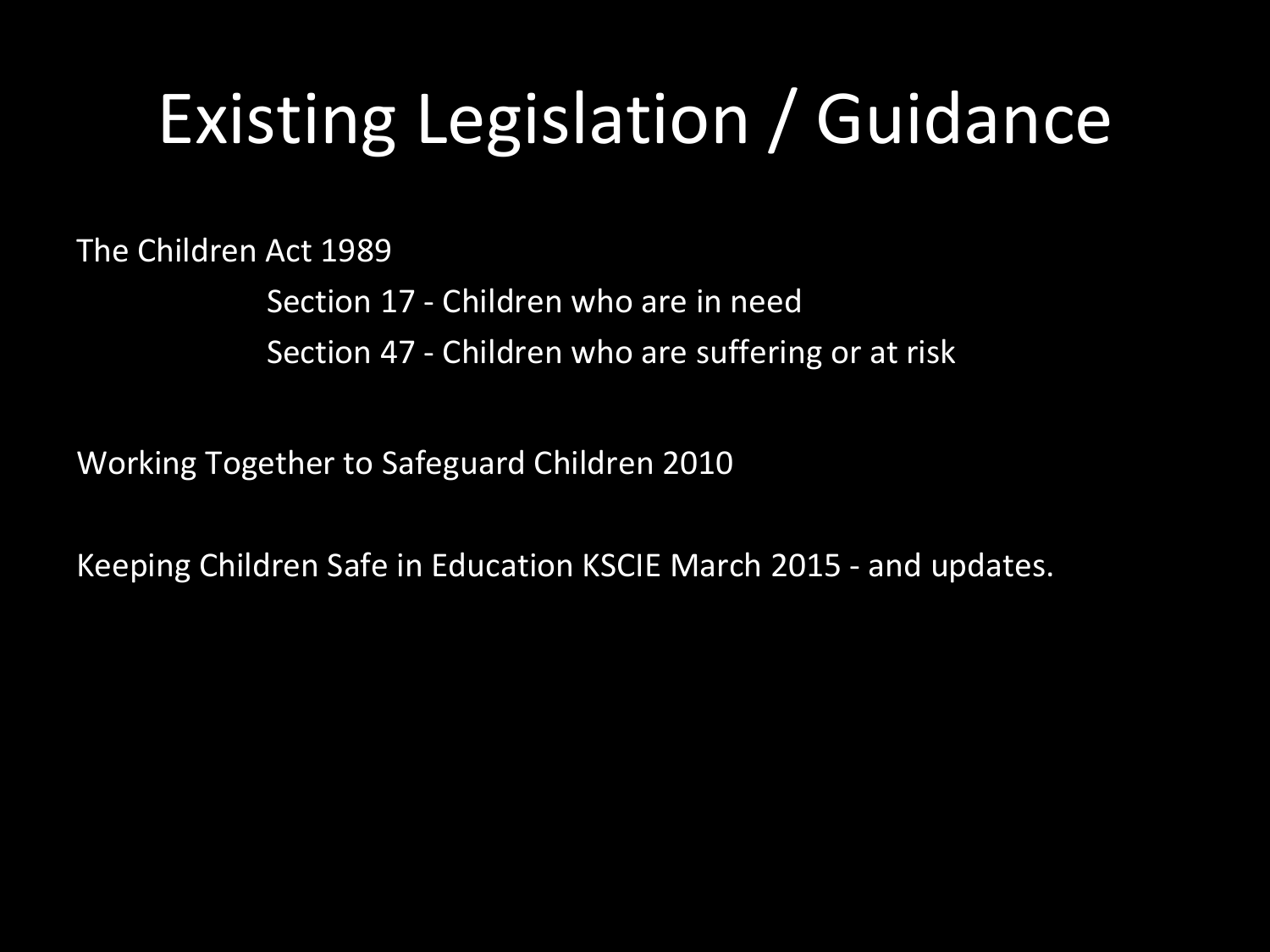## Existing Legislation / Guidance

The Children Act 1989

Section 17 - Children who are in need Section 47 - Children who are suffering or at risk

Working Together to Safeguard Children 2010

Keeping Children Safe in Education KSCIE March 2015 - and updates.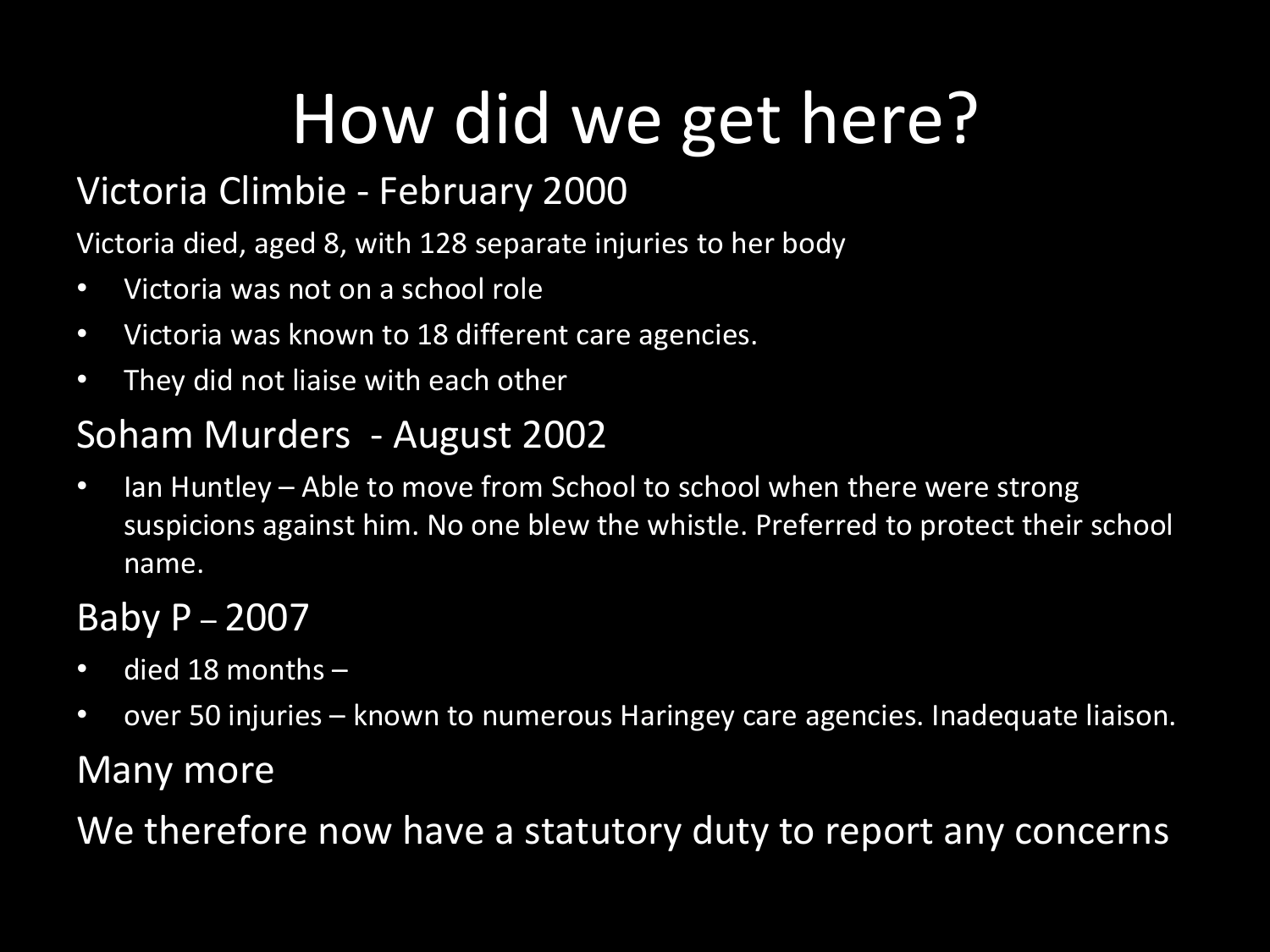## How did we get here?

#### Victoria Climbie - February 2000

Victoria died, aged 8, with 128 separate injuries to her body

- Victoria was not on a school role
- Victoria was known to 18 different care agencies.
- They did not liaise with each other

#### Soham Murders - August 2002

• Ian Huntley – Able to move from School to school when there were strong suspicions against him. No one blew the whistle. Preferred to protect their school name.

#### Baby P – 2007

- died 18 months –
- over 50 injuries known to numerous Haringey care agencies. Inadequate liaison.

#### Many more

We therefore now have a statutory duty to report any concerns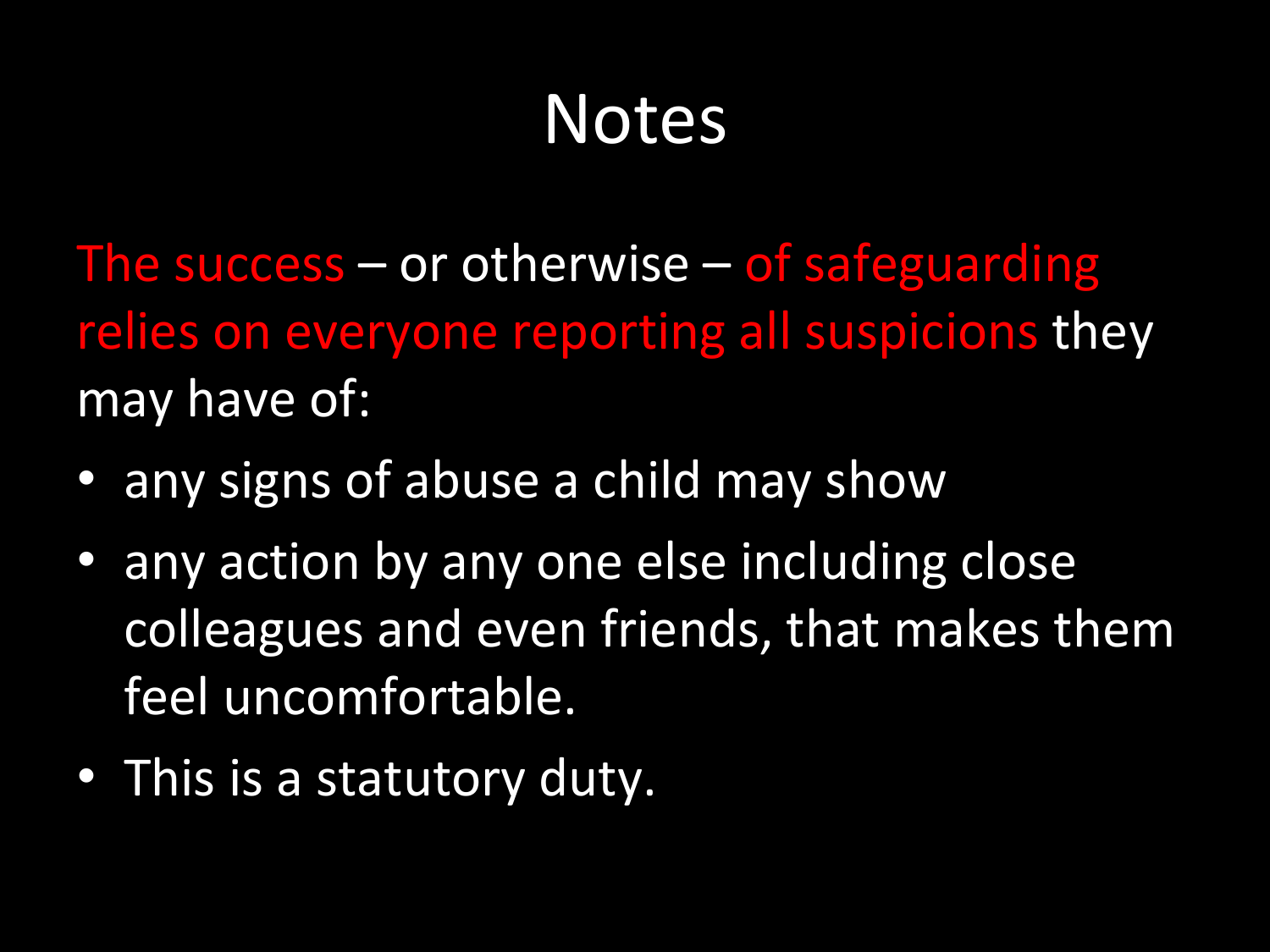#### Notes

The success – or otherwise – of safeguarding relies on everyone reporting all suspicions they may have of:

- any signs of abuse a child may show
- any action by any one else including close colleagues and even friends, that makes them feel uncomfortable.
- This is a statutory duty.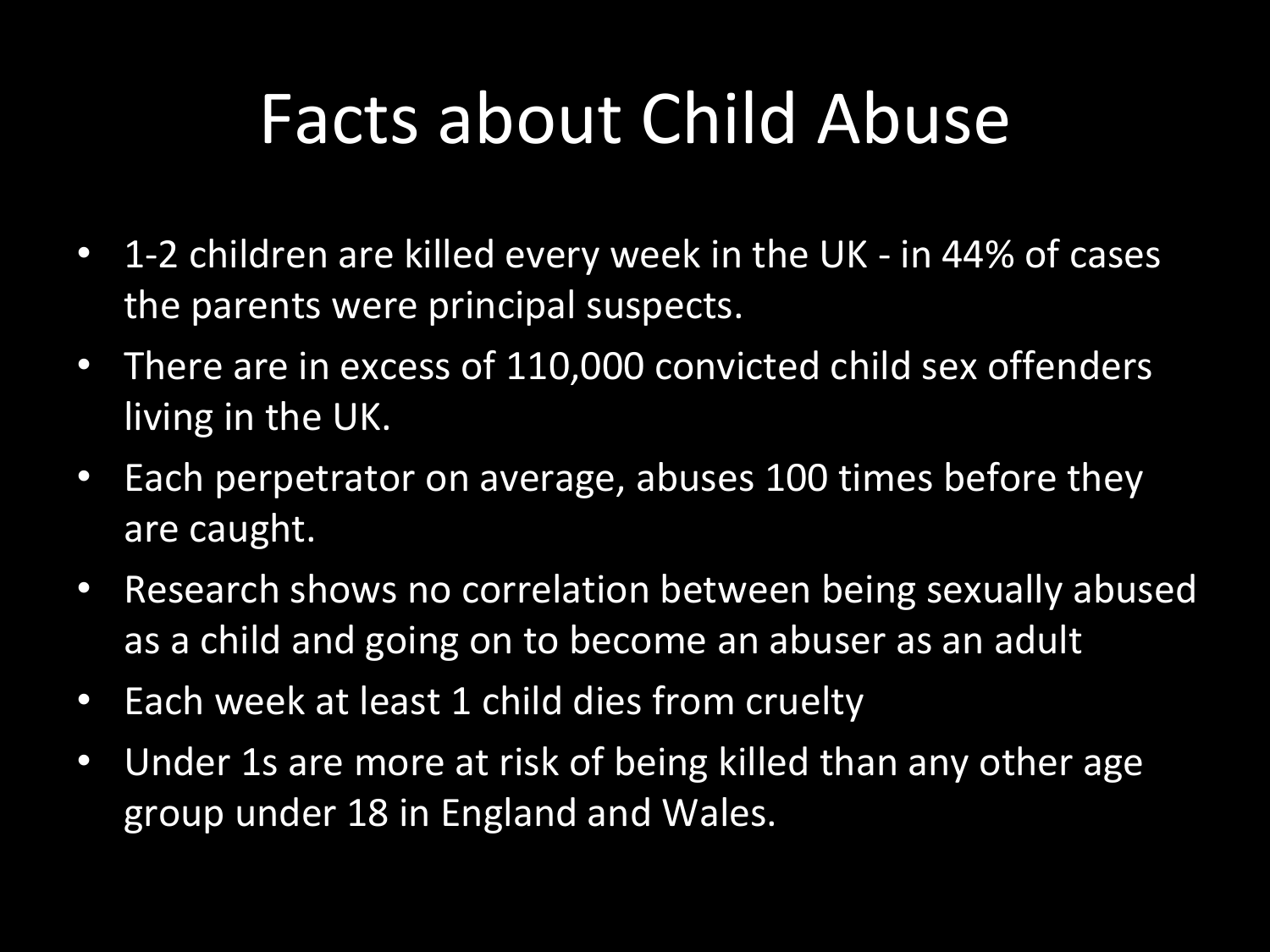#### Facts about Child Abuse

- 1-2 children are killed every week in the UK in 44% of cases the parents were principal suspects.
- There are in excess of 110,000 convicted child sex offenders living in the UK.
- Each perpetrator on average, abuses 100 times before they are caught.
- Research shows no correlation between being sexually abused as a child and going on to become an abuser as an adult
- Each week at least 1 child dies from cruelty
- Under 1s are more at risk of being killed than any other age group under 18 in England and Wales.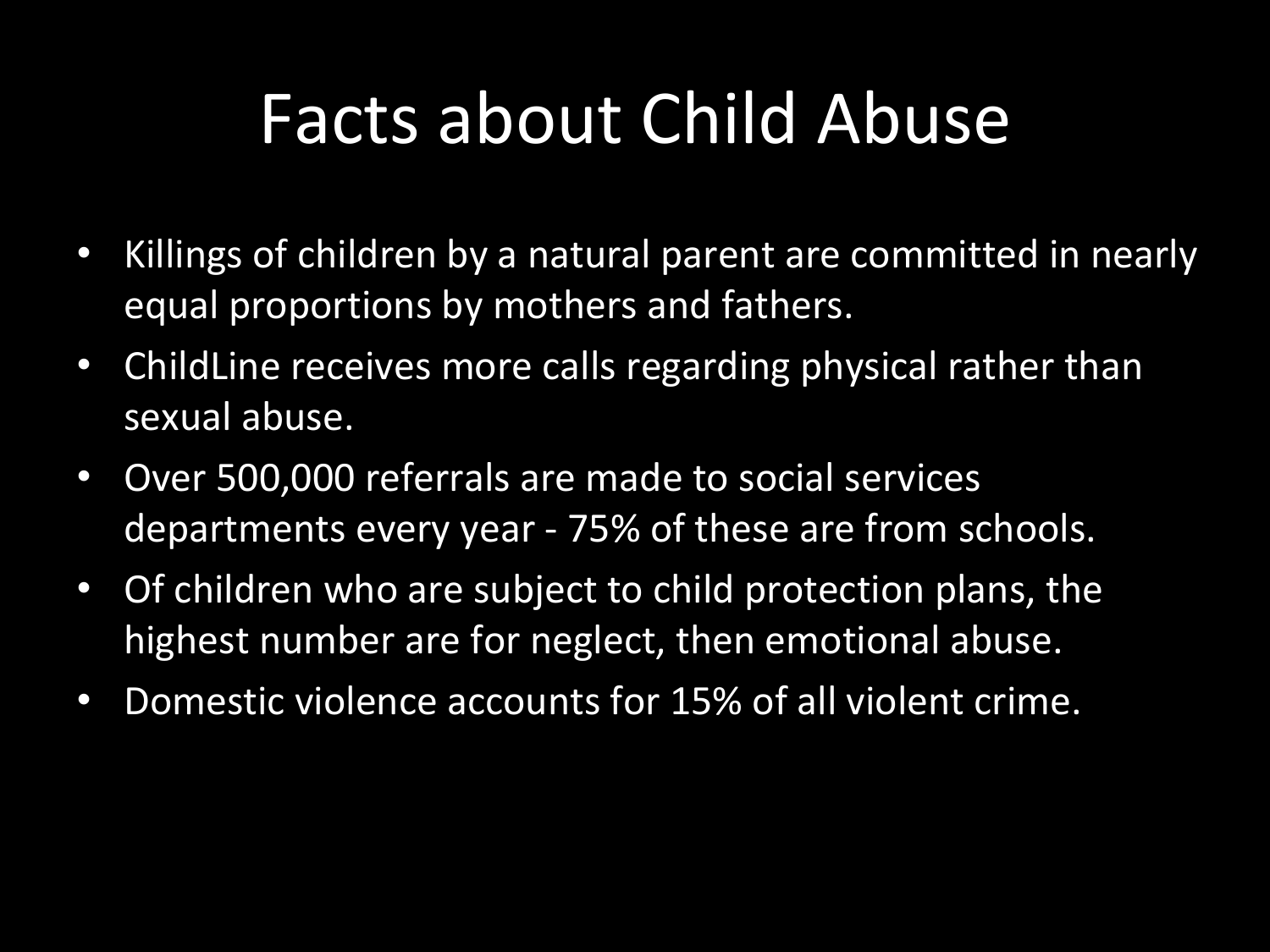#### Facts about Child Abuse

- Killings of children by a natural parent are committed in nearly equal proportions by mothers and fathers.
- ChildLine receives more calls regarding physical rather than sexual abuse.
- Over 500,000 referrals are made to social services departments every year - 75% of these are from schools.
- Of children who are subject to child protection plans, the highest number are for neglect, then emotional abuse.
- Domestic violence accounts for 15% of all violent crime.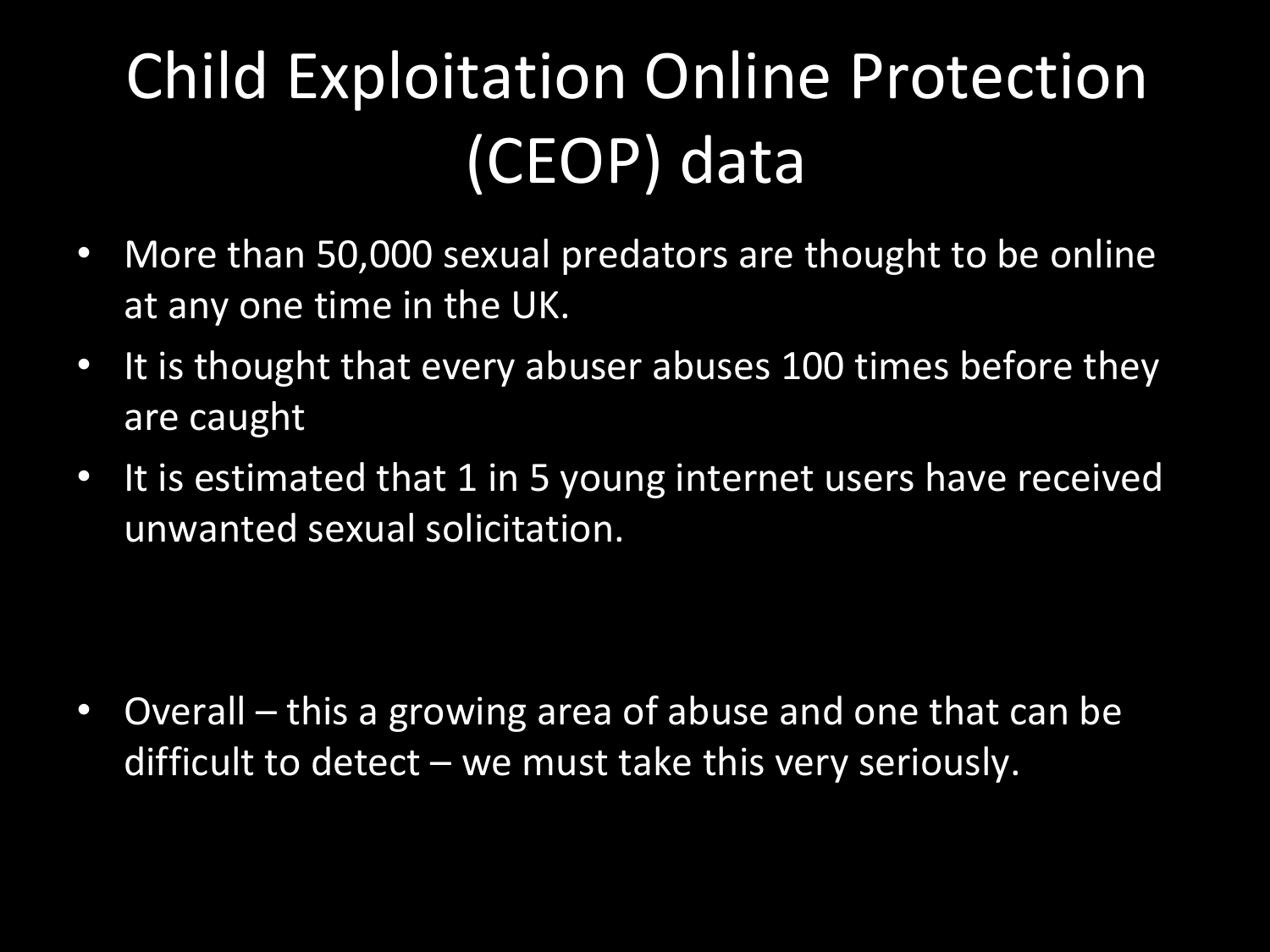## Child Exploitation Online Protection (CEOP) data

- More than 50,000 sexual predators are thought to be online at any one time in the UK.
- It is thought that every abuser abuses 100 times before they are caught
- $\bullet$  It is estimated that  $1$  in 5 young internet users have received unwanted sexual solicitation.

• Overall – this a growing area of abuse and one that can be difficult to detect – we must take this very seriously.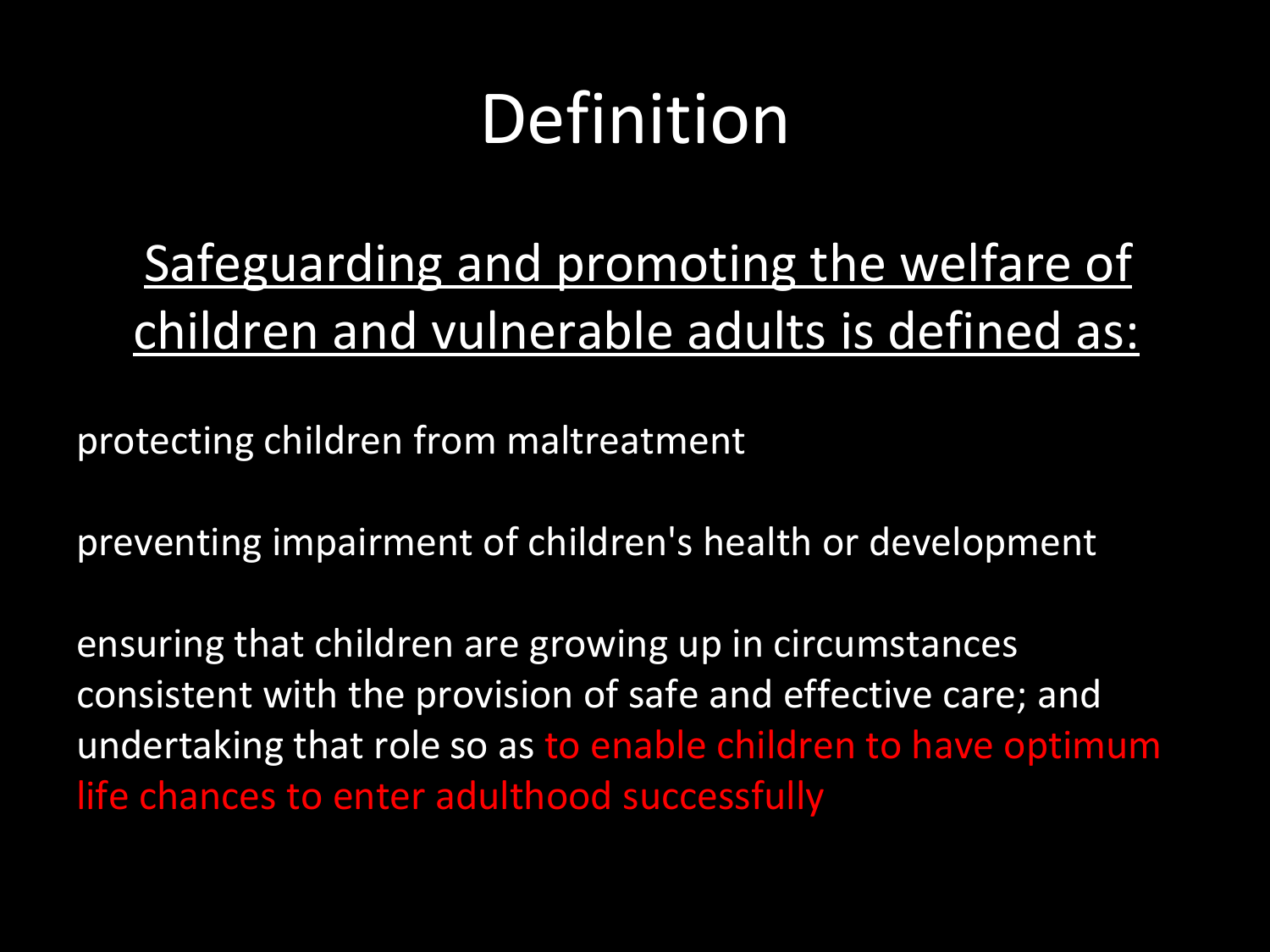### Definition

#### Safeguarding and promoting the welfare of children and vulnerable adults is defined as:

protecting children from maltreatment

preventing impairment of children's health or development

ensuring that children are growing up in circumstances consistent with the provision of safe and effective care; and undertaking that role so as to enable children to have optimum life chances to enter adulthood successfully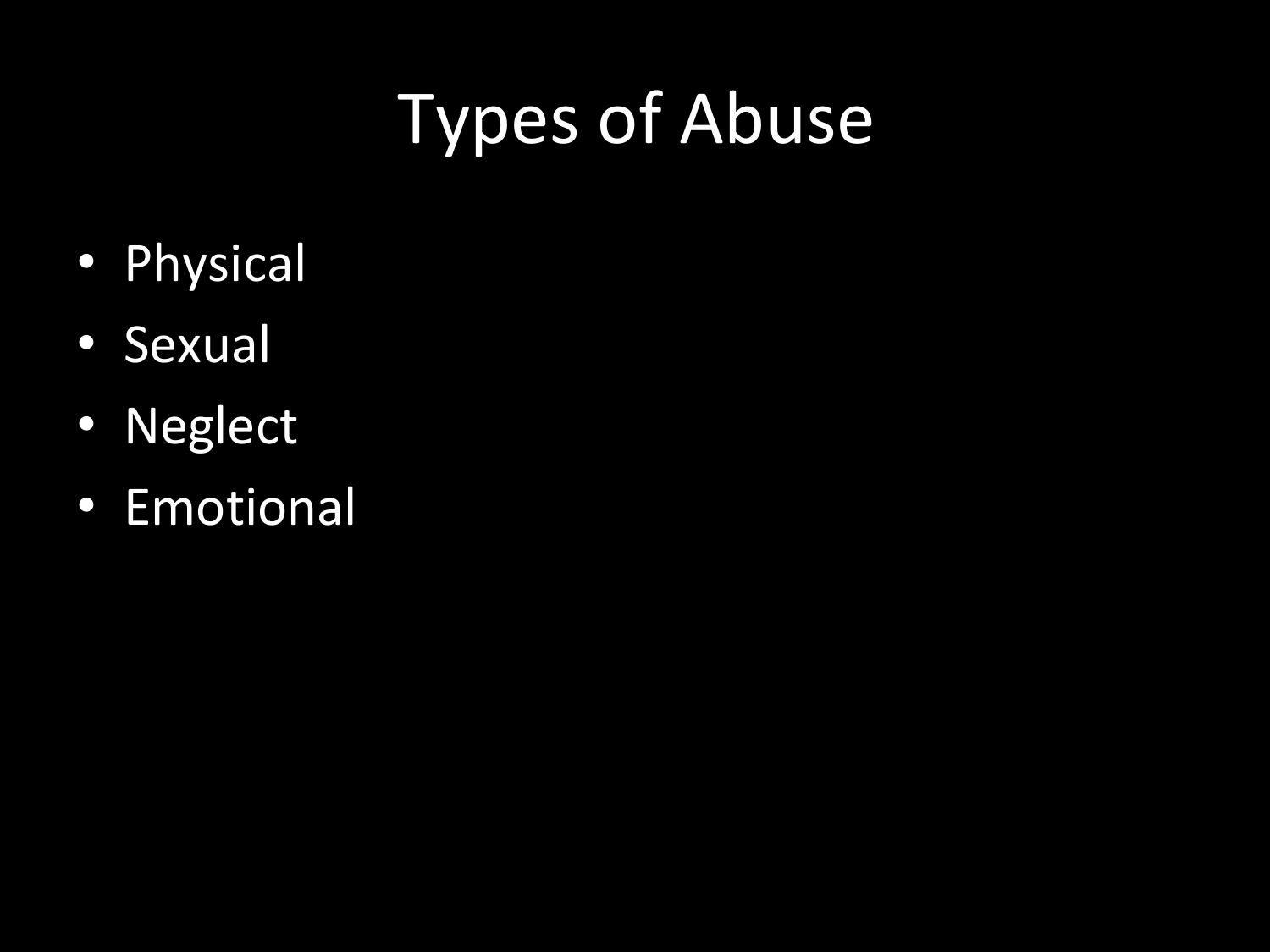## Types of Abuse

- Physical
- Sexual
- Neglect
- Emotional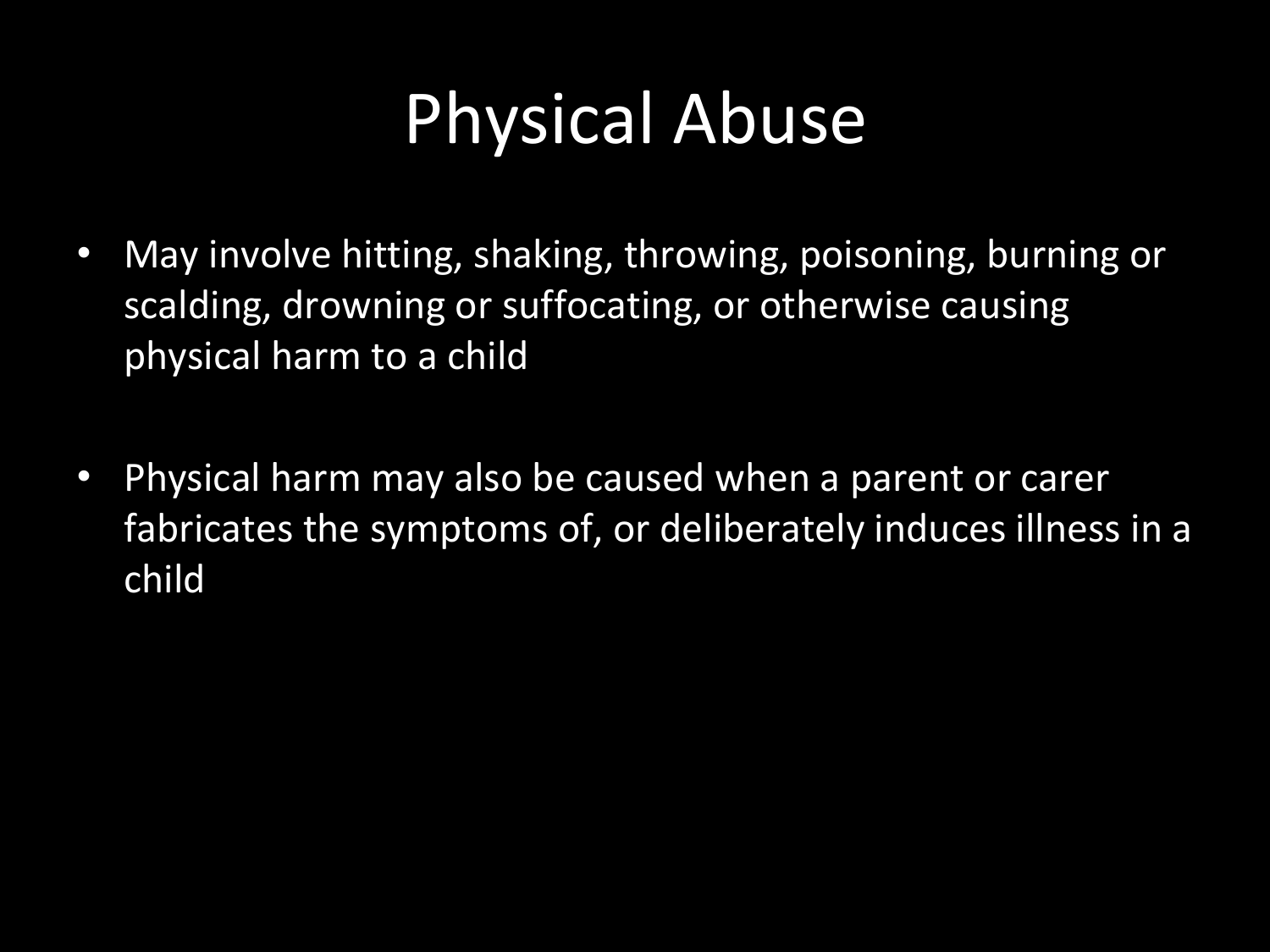### Physical Abuse

- May involve hitting, shaking, throwing, poisoning, burning or scalding, drowning or suffocating, or otherwise causing physical harm to a child
- Physical harm may also be caused when a parent or carer fabricates the symptoms of, or deliberately induces illness in a child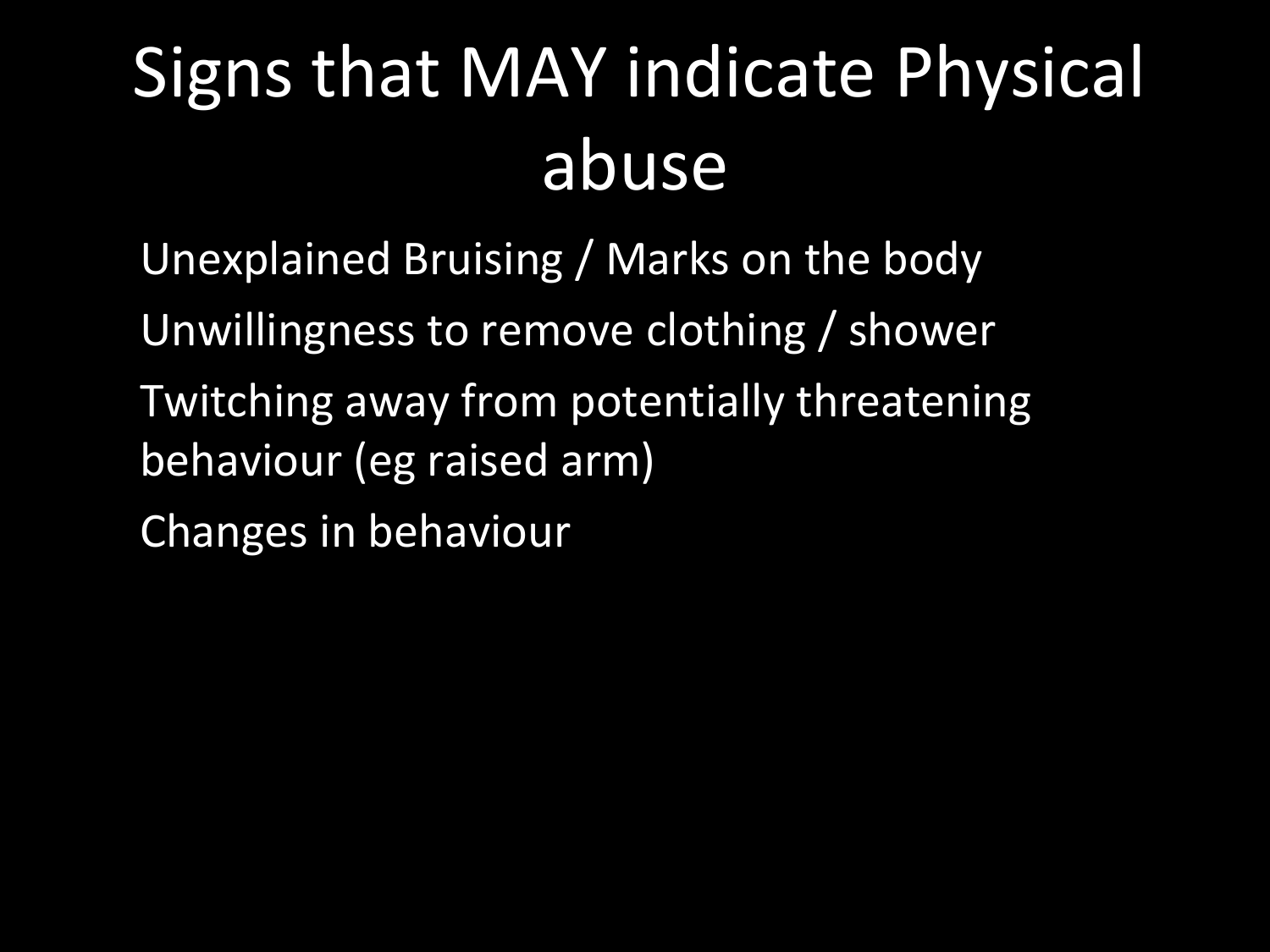# Signs that MAY indicate Physical abuse

Unexplained Bruising / Marks on the body Unwillingness to remove clothing / shower Twitching away from potentially threatening behaviour (eg raised arm) Changes in behaviour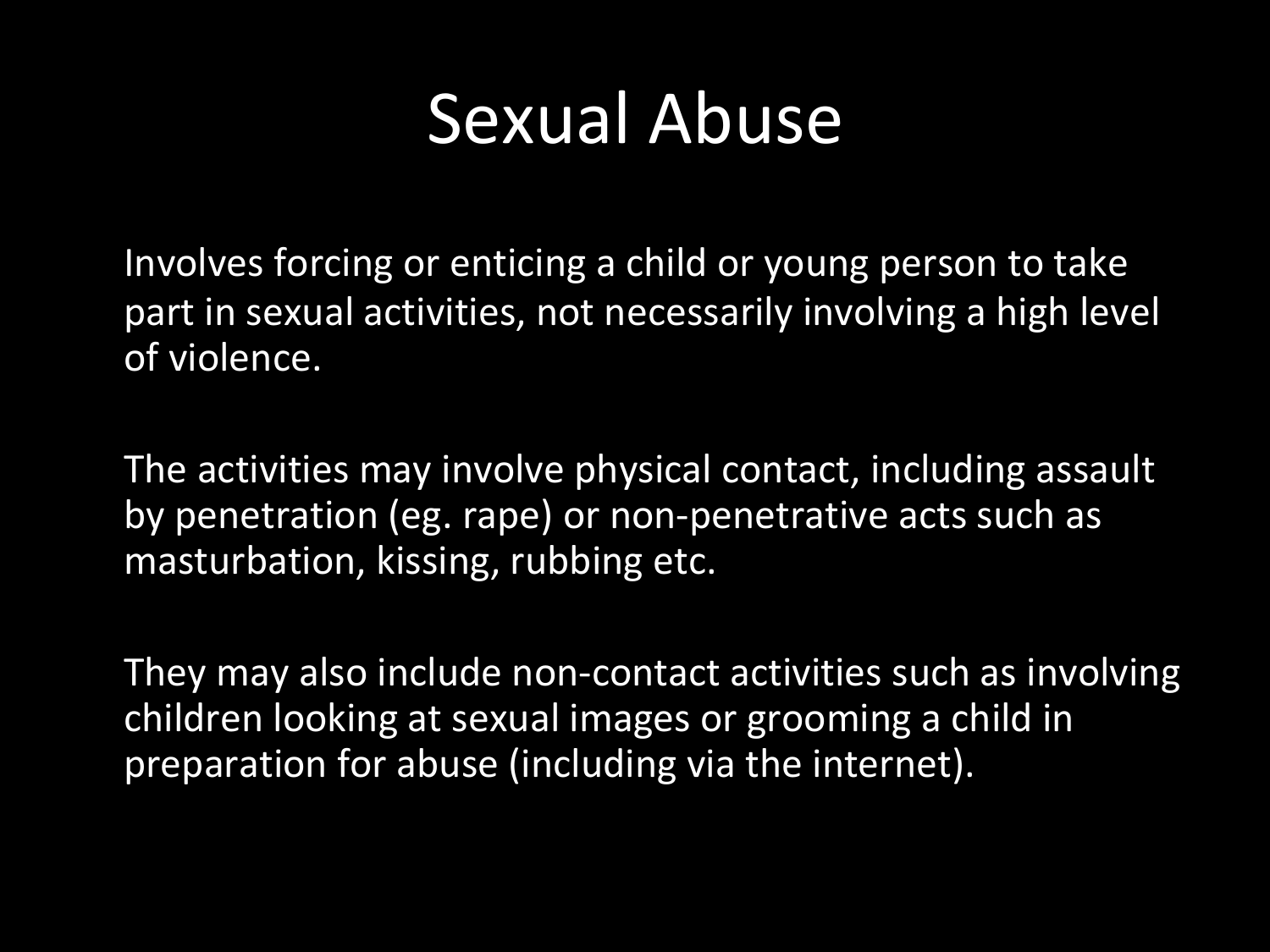#### Sexual Abuse

Involves forcing or enticing a child or young person to take part in sexual activities, not necessarily involving a high level of violence.

The activities may involve physical contact, including assault by penetration (eg. rape) or non-penetrative acts such as masturbation, kissing, rubbing etc.

They may also include non-contact activities such as involving children looking at sexual images or grooming a child in preparation for abuse (including via the internet).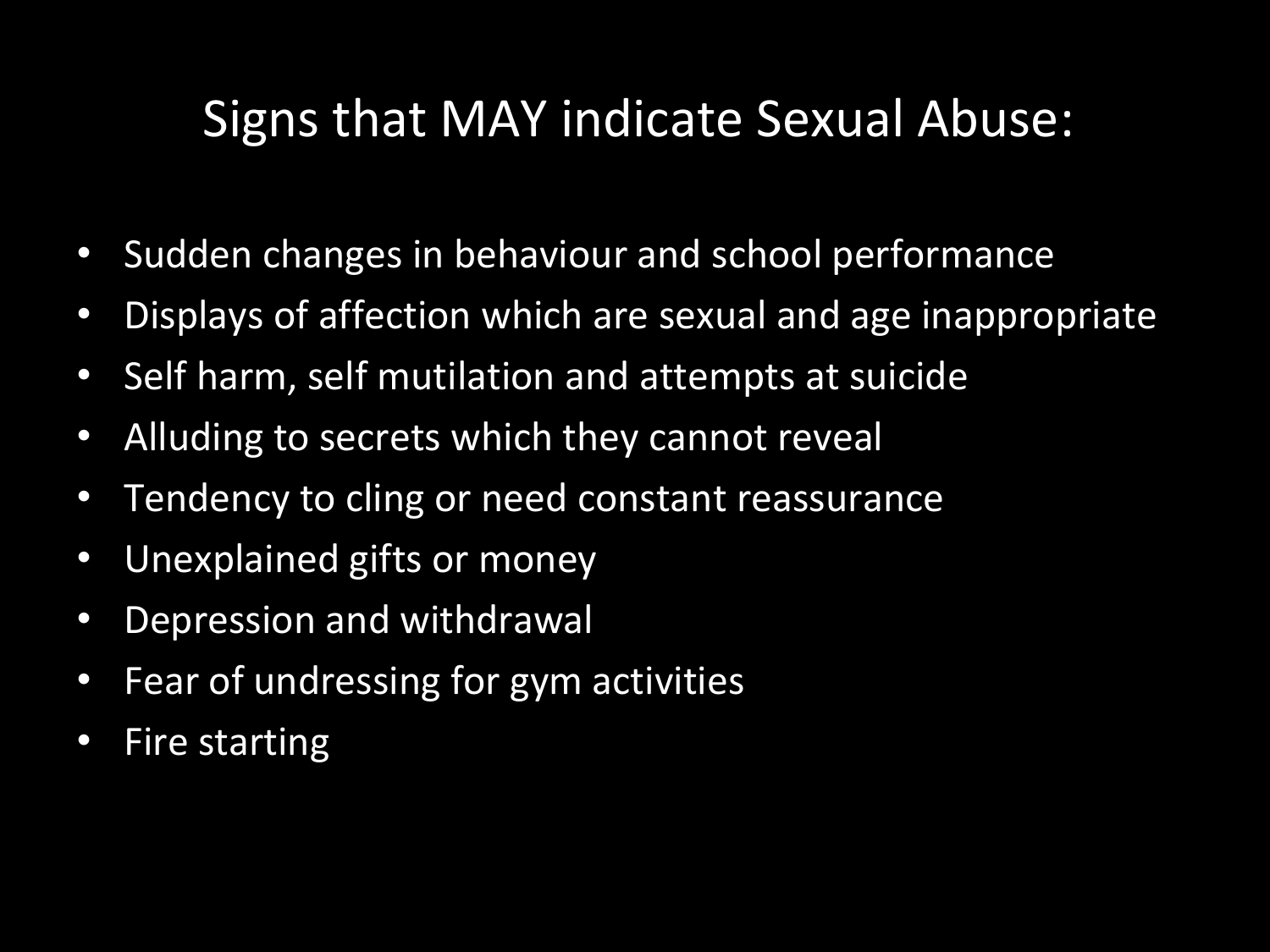#### Signs that MAY indicate Sexual Abuse:

- Sudden changes in behaviour and school performance
- Displays of affection which are sexual and age inappropriate
- Self harm, self mutilation and attempts at suicide
- Alluding to secrets which they cannot reveal
- Tendency to cling or need constant reassurance
- Unexplained gifts or money
- Depression and withdrawal
- Fear of undressing for gym activities
- Fire starting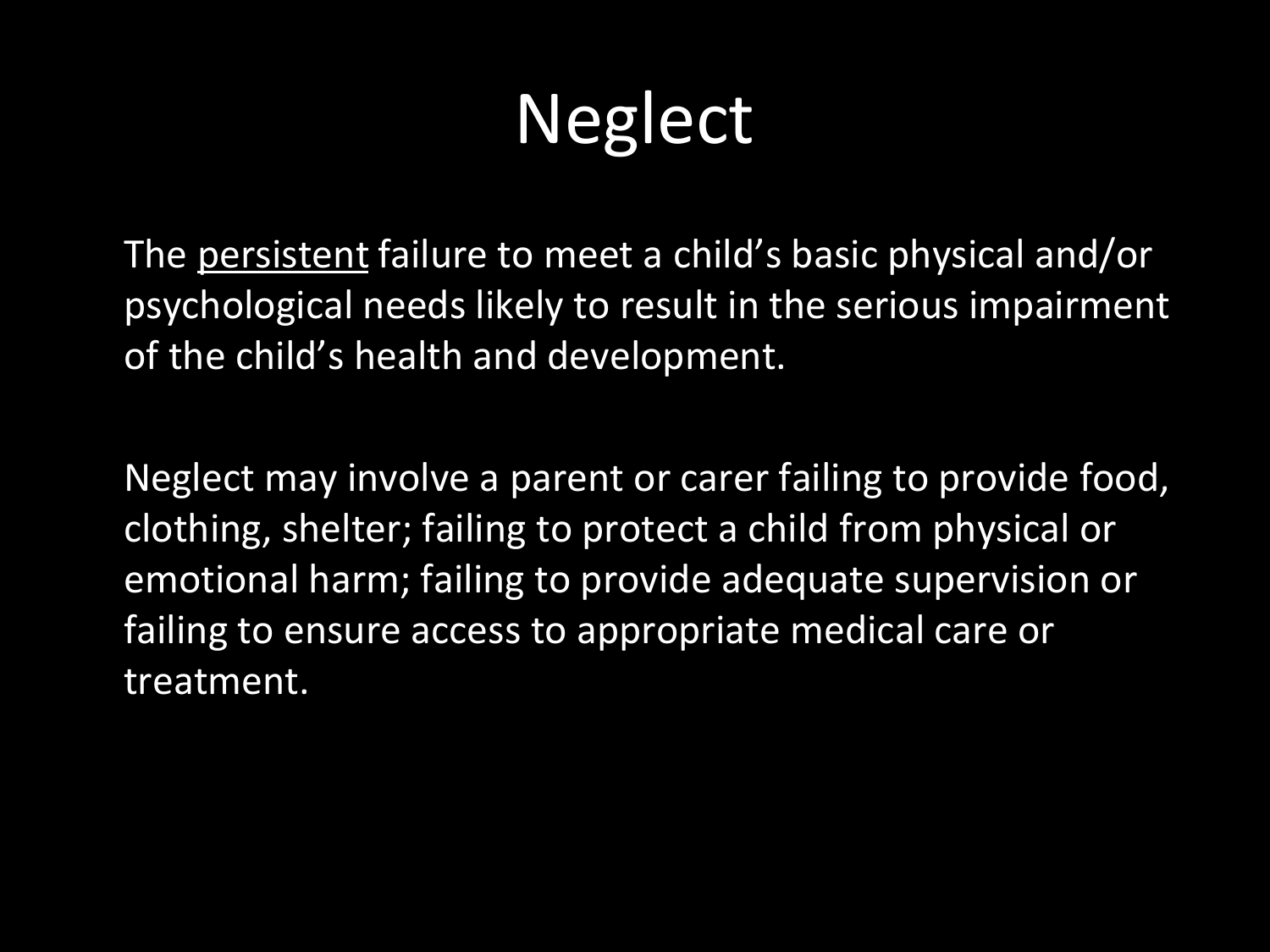# **Neglect**

The persistent failure to meet a child's basic physical and/or psychological needs likely to result in the serious impairment of the child's health and development.

Neglect may involve a parent or carer failing to provide food, clothing, shelter; failing to protect a child from physical or emotional harm; failing to provide adequate supervision or failing to ensure access to appropriate medical care or treatment.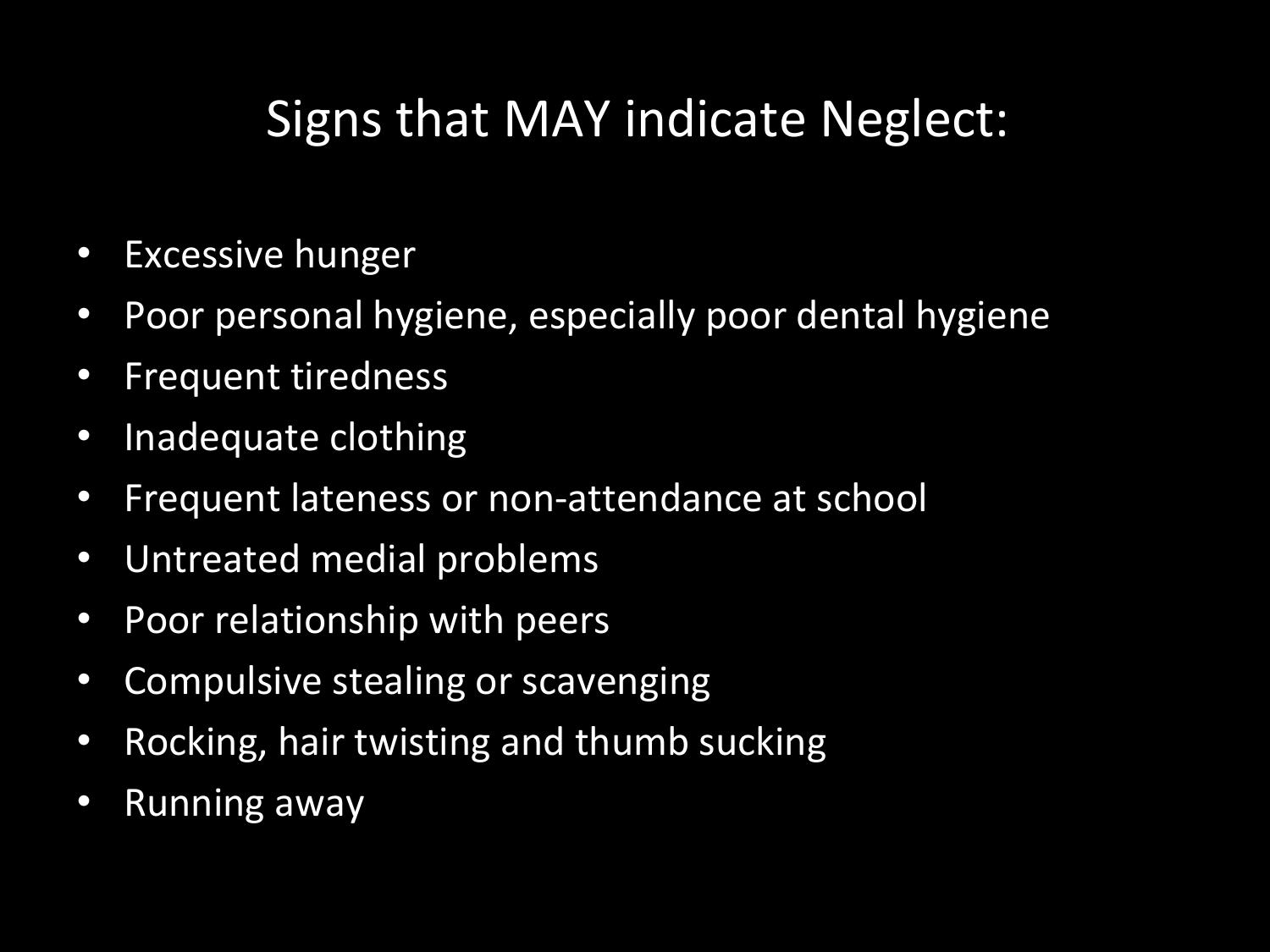#### Signs that MAY indicate Neglect:

- Excessive hunger
- Poor personal hygiene, especially poor dental hygiene
- Frequent tiredness
- Inadequate clothing
- Frequent lateness or non-attendance at school
- Untreated medial problems
- Poor relationship with peers
- Compulsive stealing or scavenging
- Rocking, hair twisting and thumb sucking
- Running away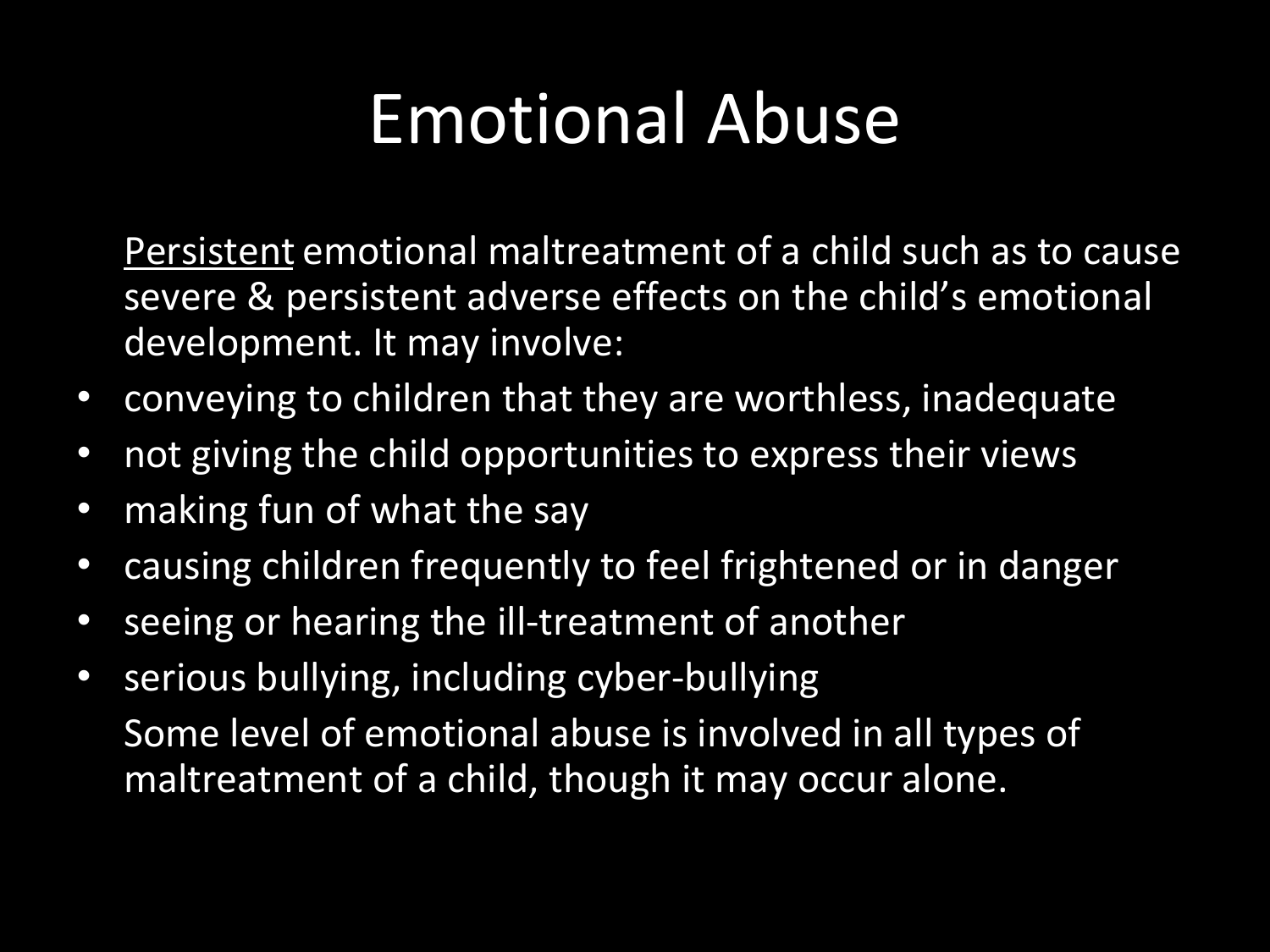#### Emotional Abuse

Persistent emotional maltreatment of a child such as to cause severe & persistent adverse effects on the child's emotional development. It may involve:

- conveying to children that they are worthless, inadequate
- not giving the child opportunities to express their views
- making fun of what the say
- causing children frequently to feel frightened or in danger
- seeing or hearing the ill-treatment of another
- serious bullying, including cyber-bullying Some level of emotional abuse is involved in all types of maltreatment of a child, though it may occur alone.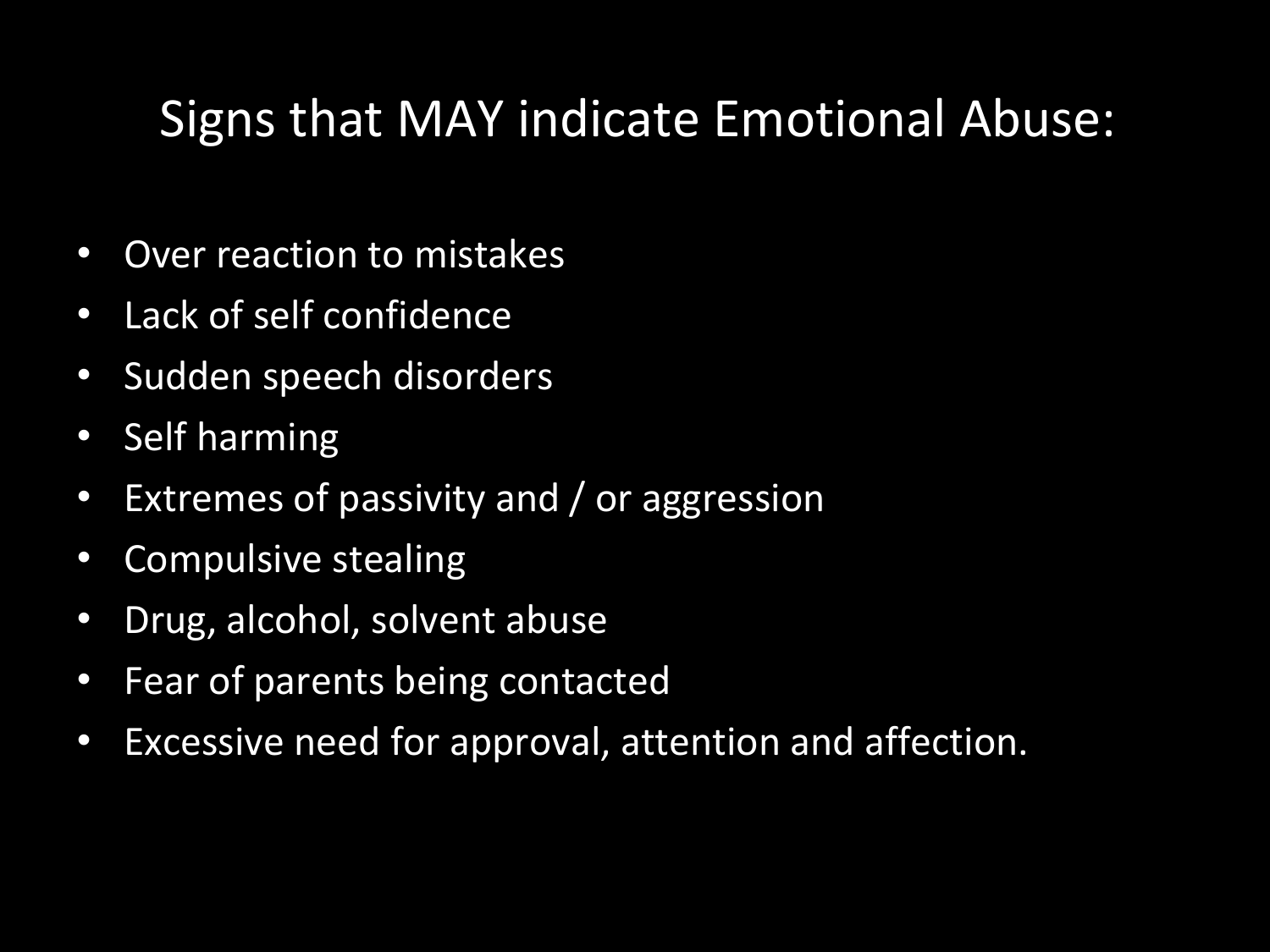#### Signs that MAY indicate Emotional Abuse:

- Over reaction to mistakes
- Lack of self confidence
- Sudden speech disorders
- Self harming
- Extremes of passivity and / or aggression
- Compulsive stealing
- Drug, alcohol, solvent abuse
- Fear of parents being contacted
- Excessive need for approval, attention and affection.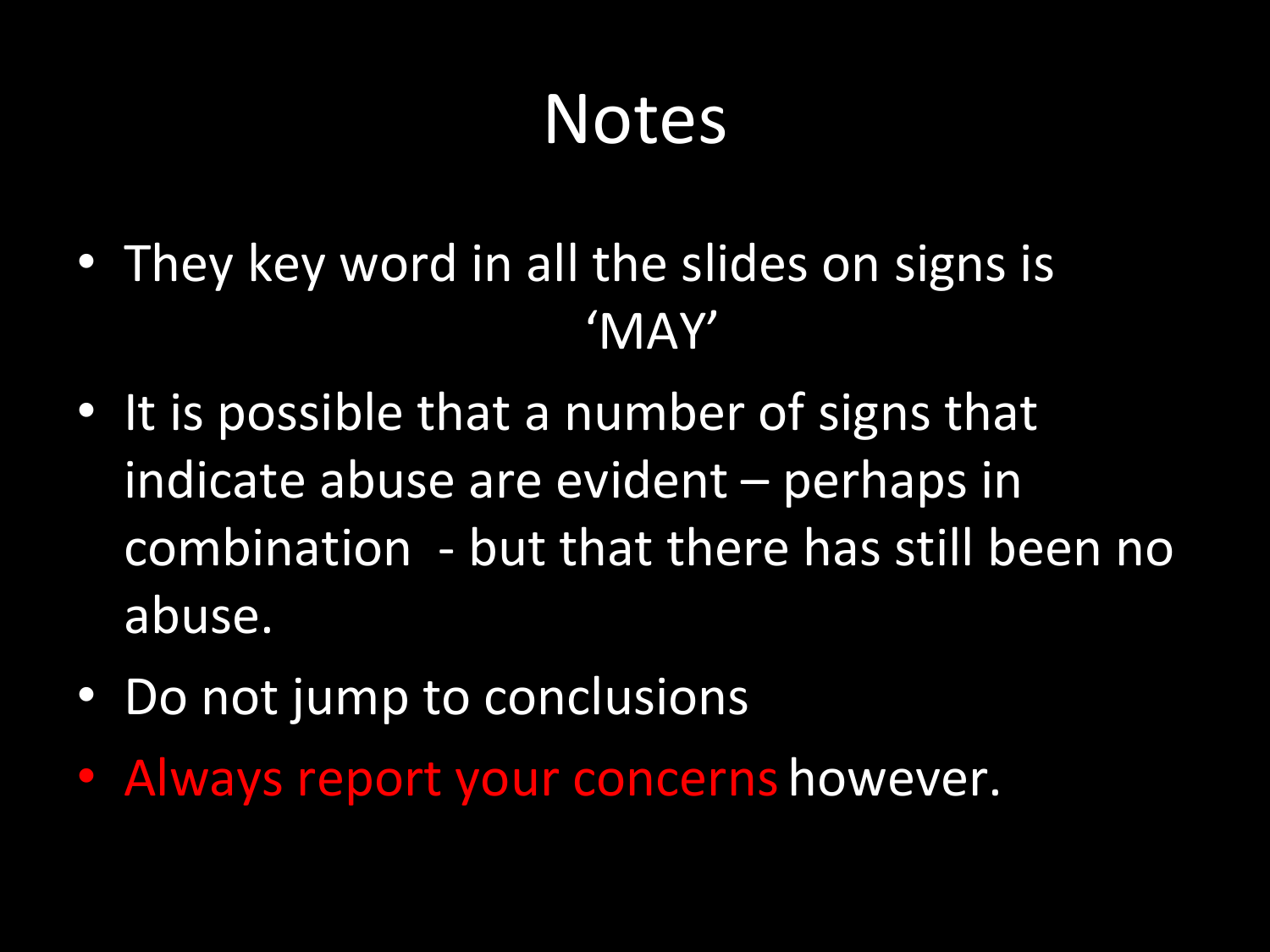#### Notes

- They key word in all the slides on signs is 'MAY'
- It is possible that a number of signs that indicate abuse are evident – perhaps in combination - but that there has still been no abuse.
- Do not jump to conclusions
- Always report your concerns however.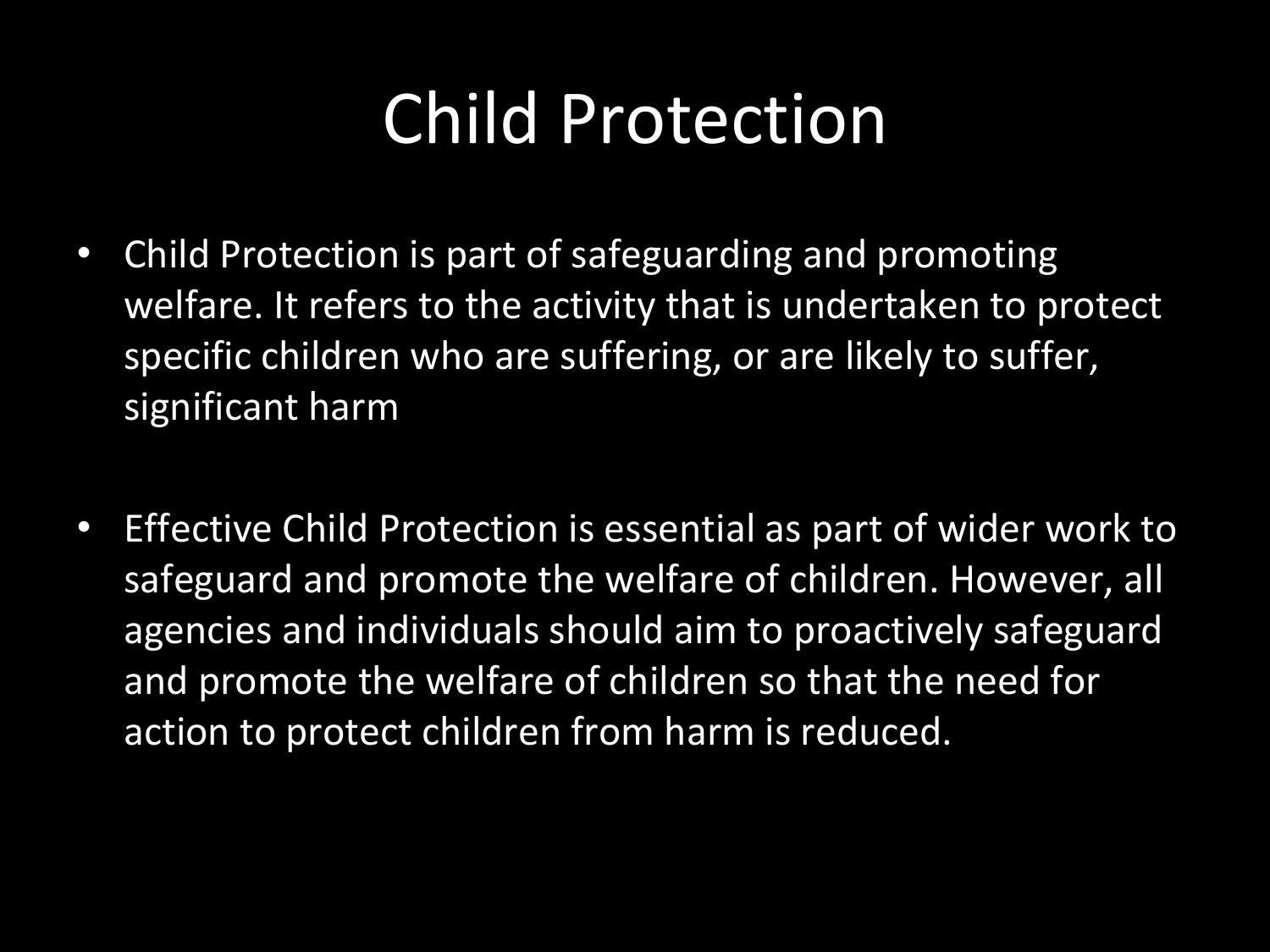#### Child Protection

- Child Protection is part of safeguarding and promoting welfare. It refers to the activity that is undertaken to protect specific children who are suffering, or are likely to suffer, significant harm
- Effective Child Protection is essential as part of wider work to safeguard and promote the welfare of children. However, all agencies and individuals should aim to proactively safeguard and promote the welfare of children so that the need for action to protect children from harm is reduced.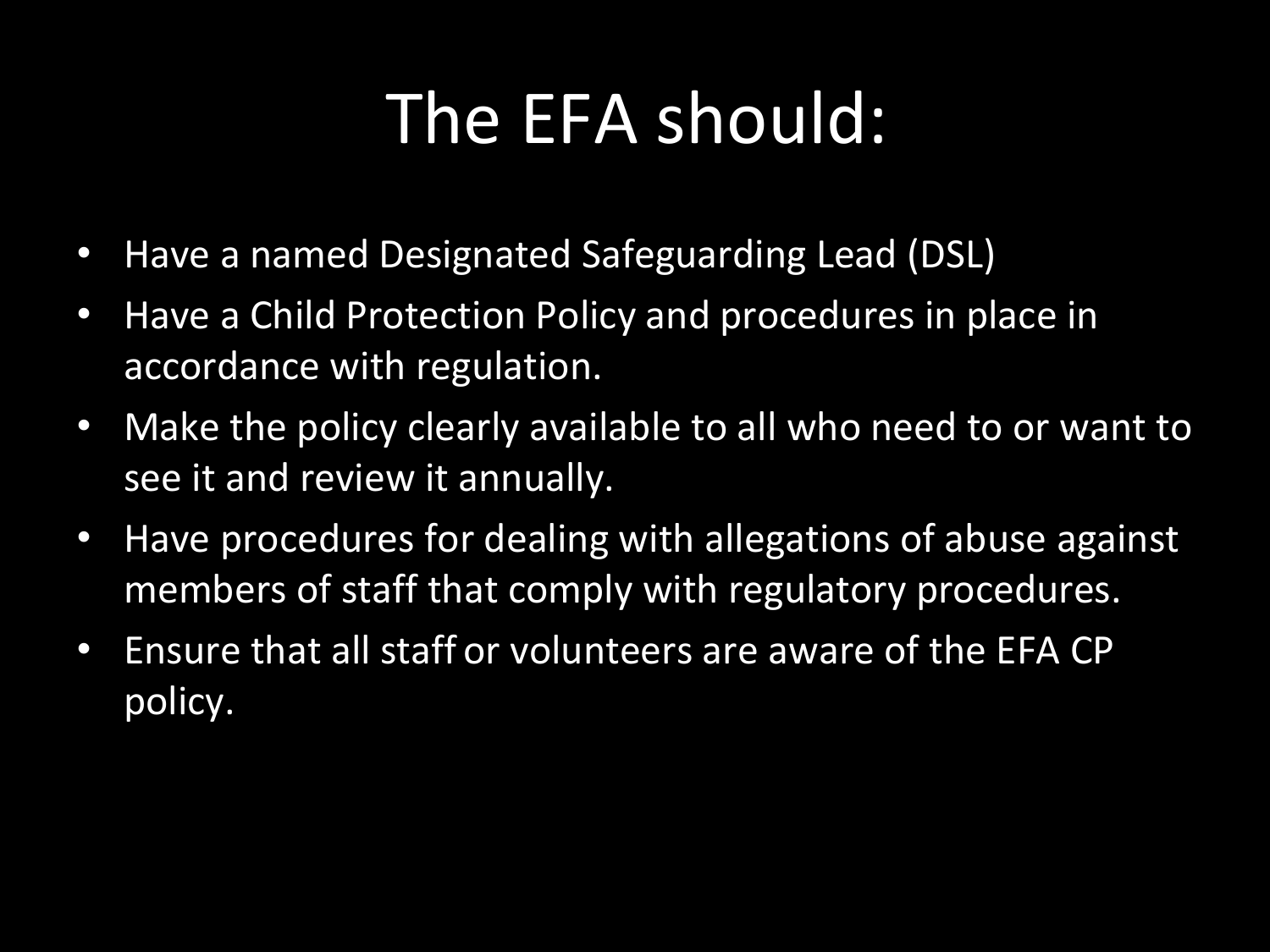### The EFA should:

- Have a named Designated Safeguarding Lead (DSL)
- Have a Child Protection Policy and procedures in place in accordance with regulation.
- Make the policy clearly available to all who need to or want to see it and review it annually.
- Have procedures for dealing with allegations of abuse against members of staff that comply with regulatory procedures.
- Ensure that all staff or volunteers are aware of the EFA CP policy.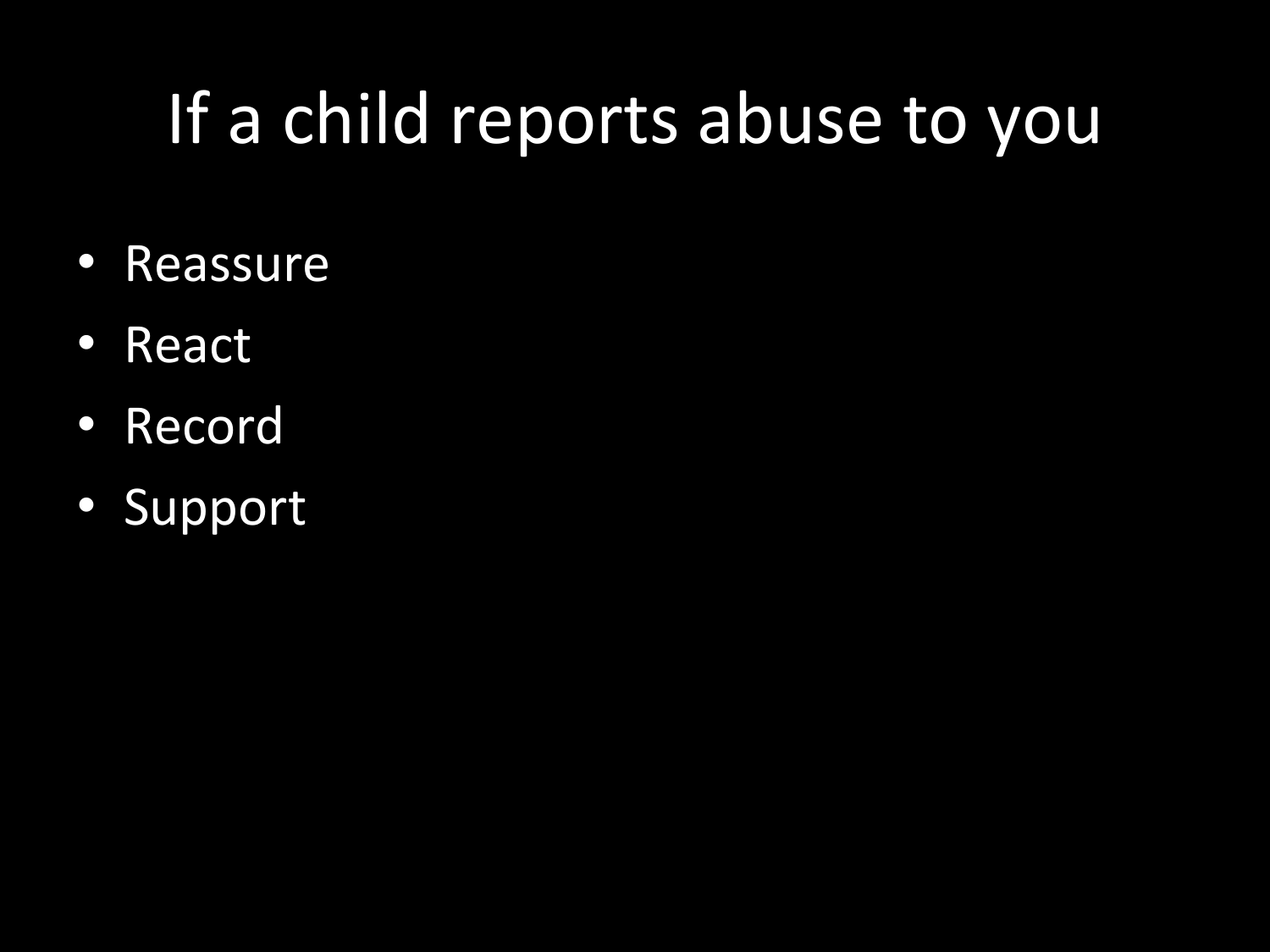## If a child reports abuse to you

- Reassure
- React
- Record
- Support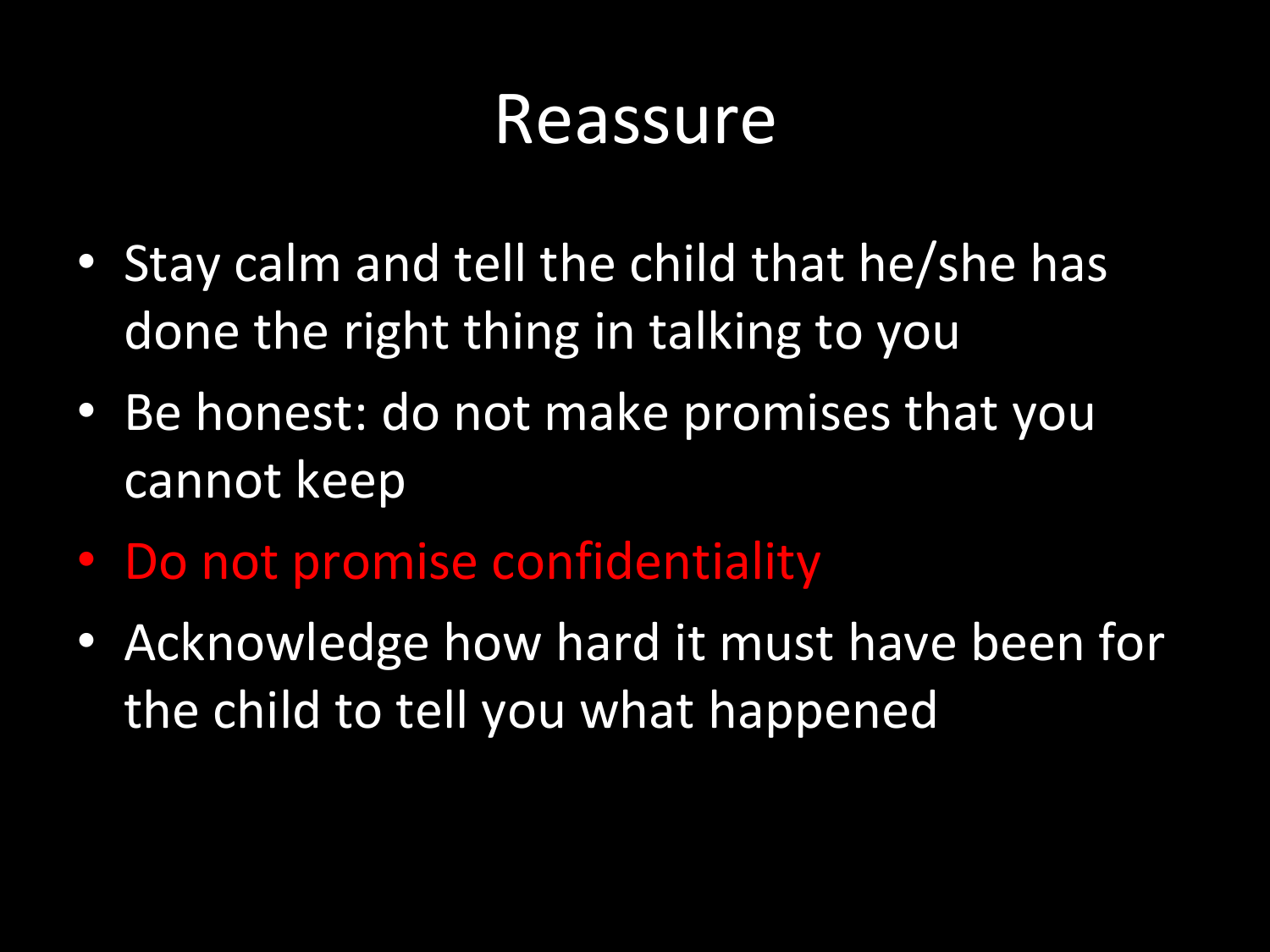#### Reassure

- Stay calm and tell the child that he/she has done the right thing in talking to you
- Be honest: do not make promises that you cannot keep
- Do not promise confidentiality
- Acknowledge how hard it must have been for the child to tell you what happened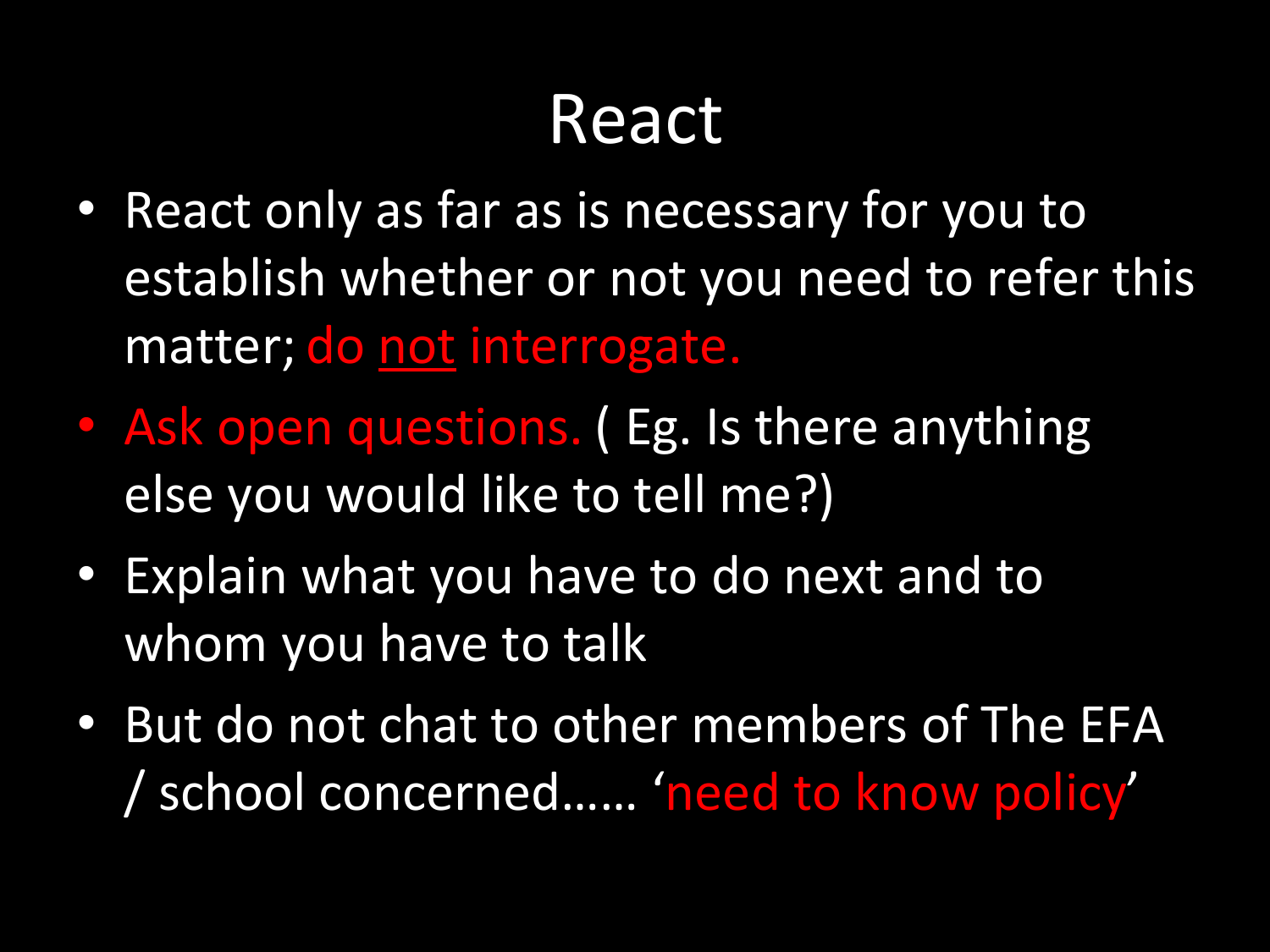#### React

- React only as far as is necessary for you to establish whether or not you need to refer this matter; do not interrogate.
- Ask open questions. (Eg. Is there anything else you would like to tell me?)
- Explain what you have to do next and to whom you have to talk
- But do not chat to other members of The EFA / school concerned…… 'need to know policy'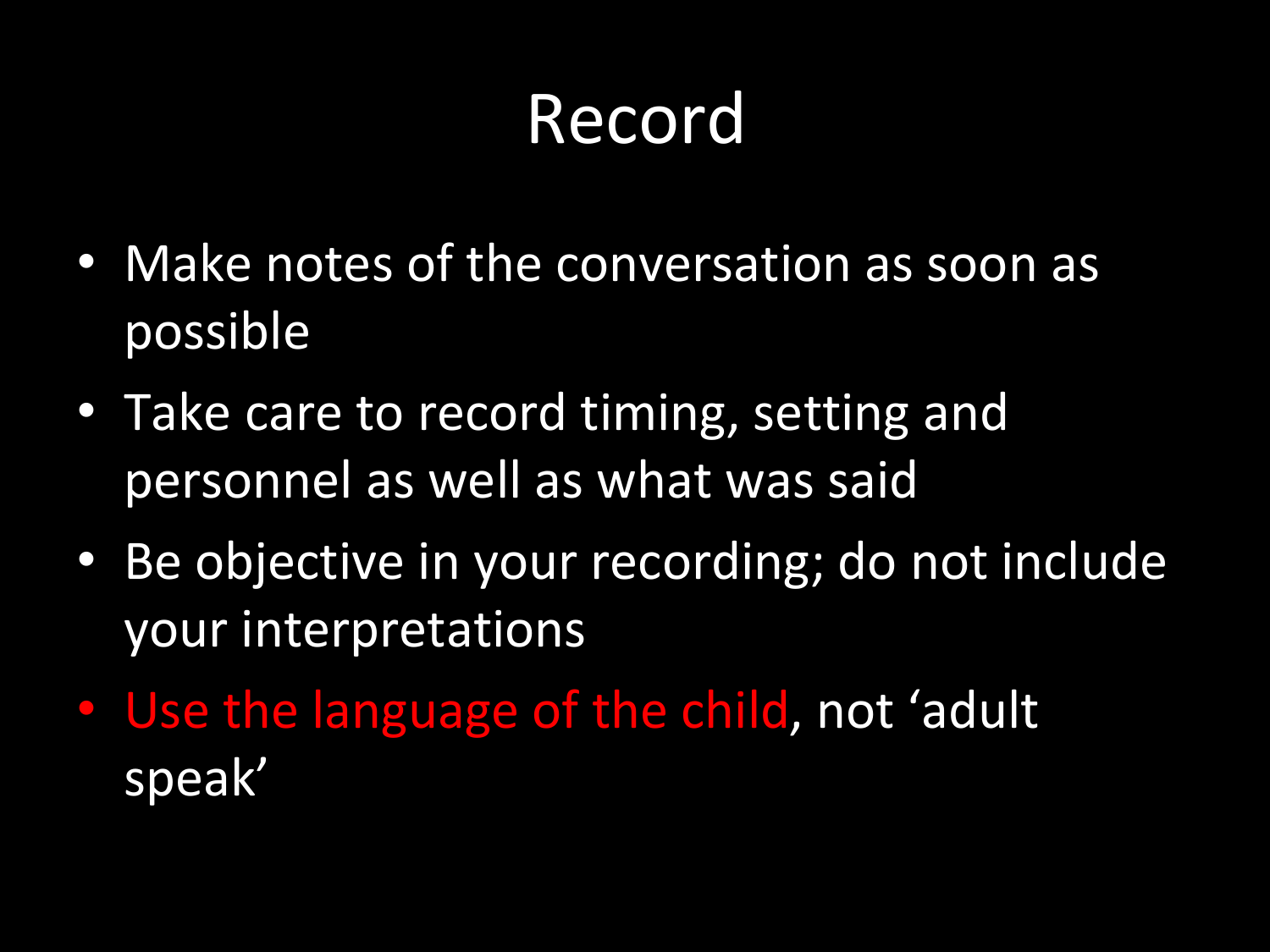## Record

- Make notes of the conversation as soon as possible
- Take care to record timing, setting and personnel as well as what was said
- Be objective in your recording; do not include your interpretations
- Use the language of the child, not 'adult speak'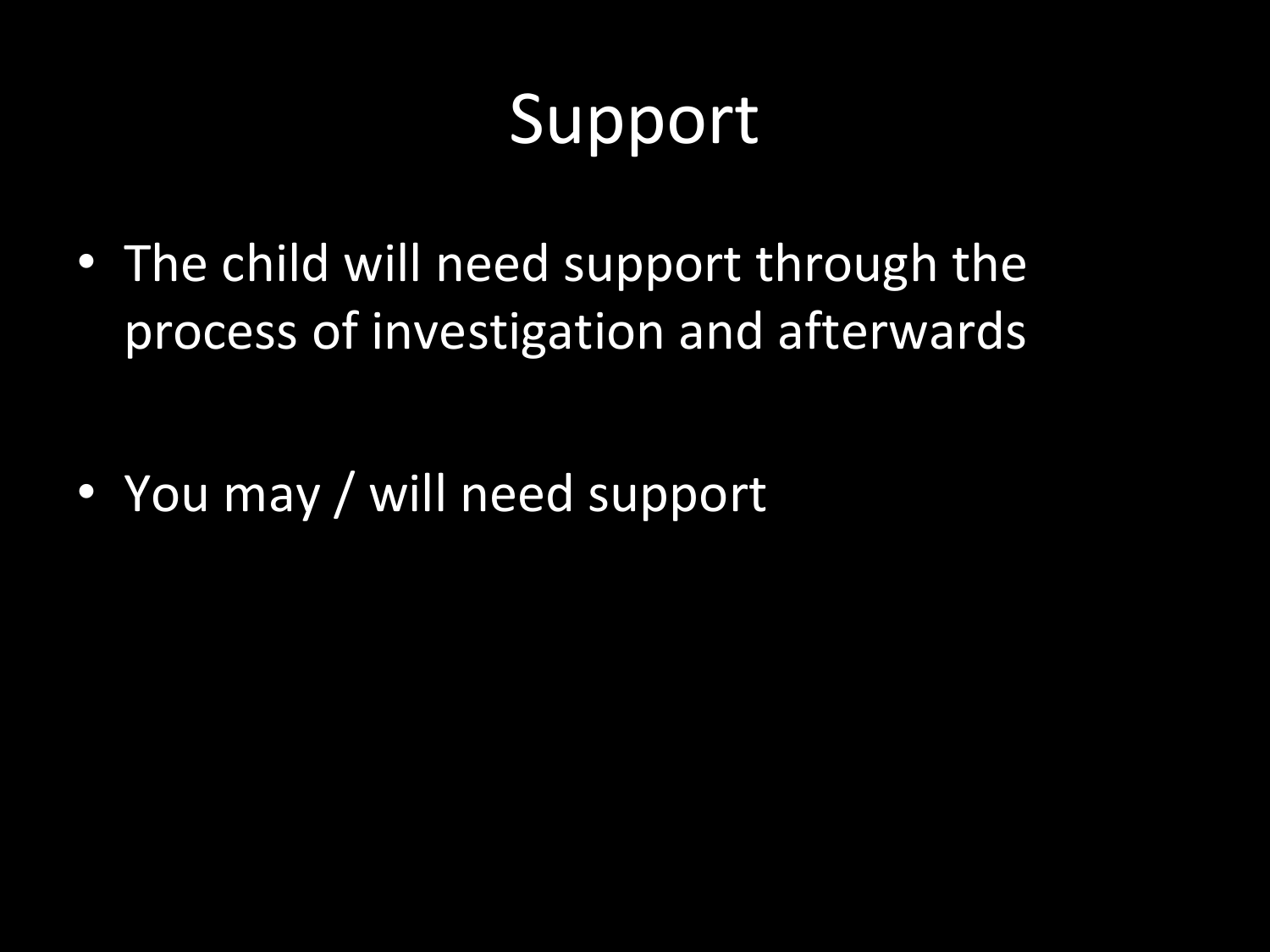## Support

• The child will need support through the process of investigation and afterwards

• You may / will need support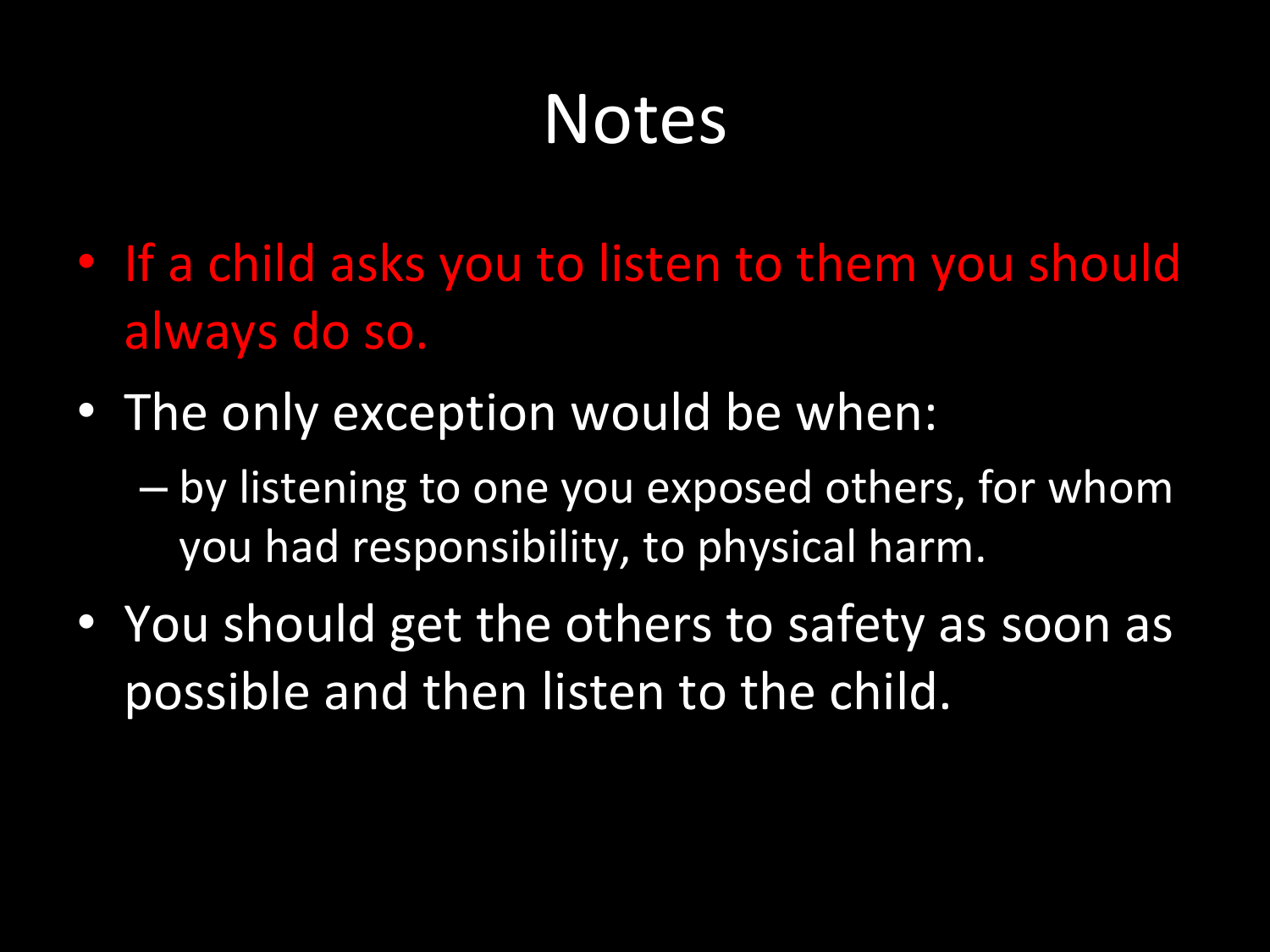#### Notes

- If a child asks you to listen to them you should always do so.
- The only exception would be when:
	- by listening to one you exposed others, for whom you had responsibility, to physical harm.
- You should get the others to safety as soon as possible and then listen to the child.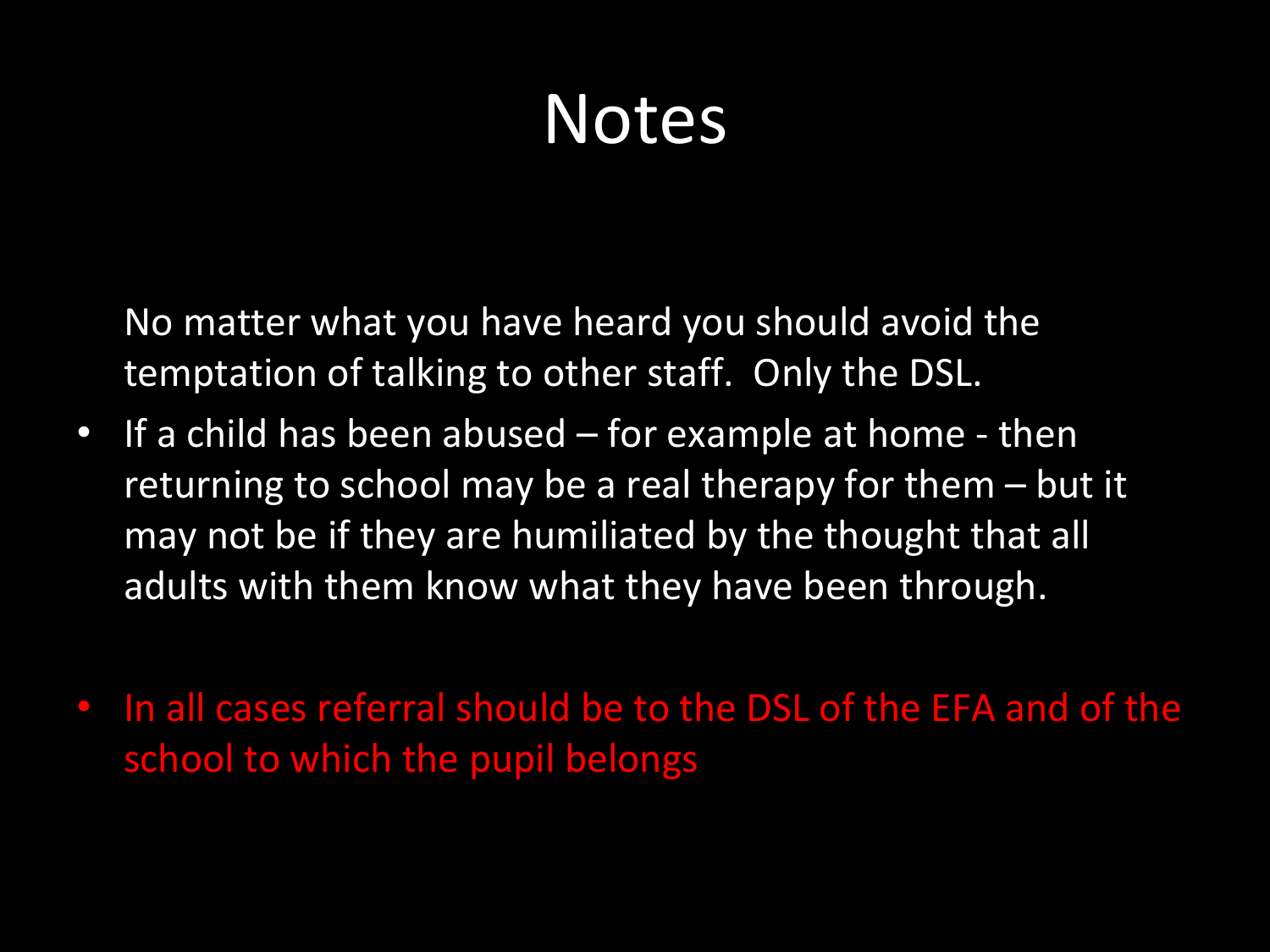#### Notes

No matter what you have heard you should avoid the temptation of talking to other staff. Only the DSL.

- If a child has been abused for example at home then returning to school may be a real therapy for them – but it may not be if they are humiliated by the thought that all adults with them know what they have been through.
- In all cases referral should be to the DSL of the EFA and of the school to which the pupil belongs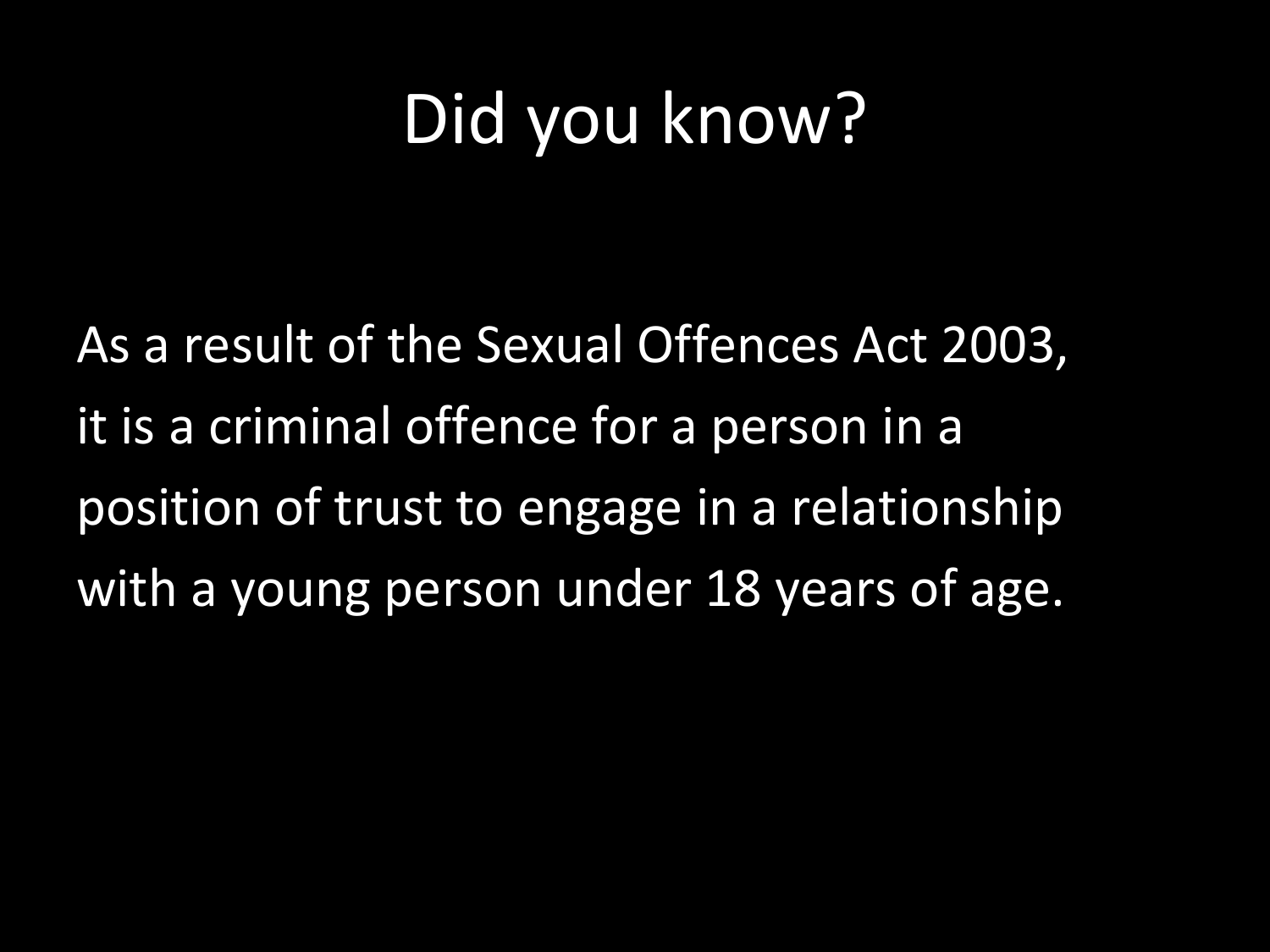#### Did you know?

As a result of the Sexual Offences Act 2003, it is a criminal offence for a person in a position of trust to engage in a relationship with a young person under 18 years of age.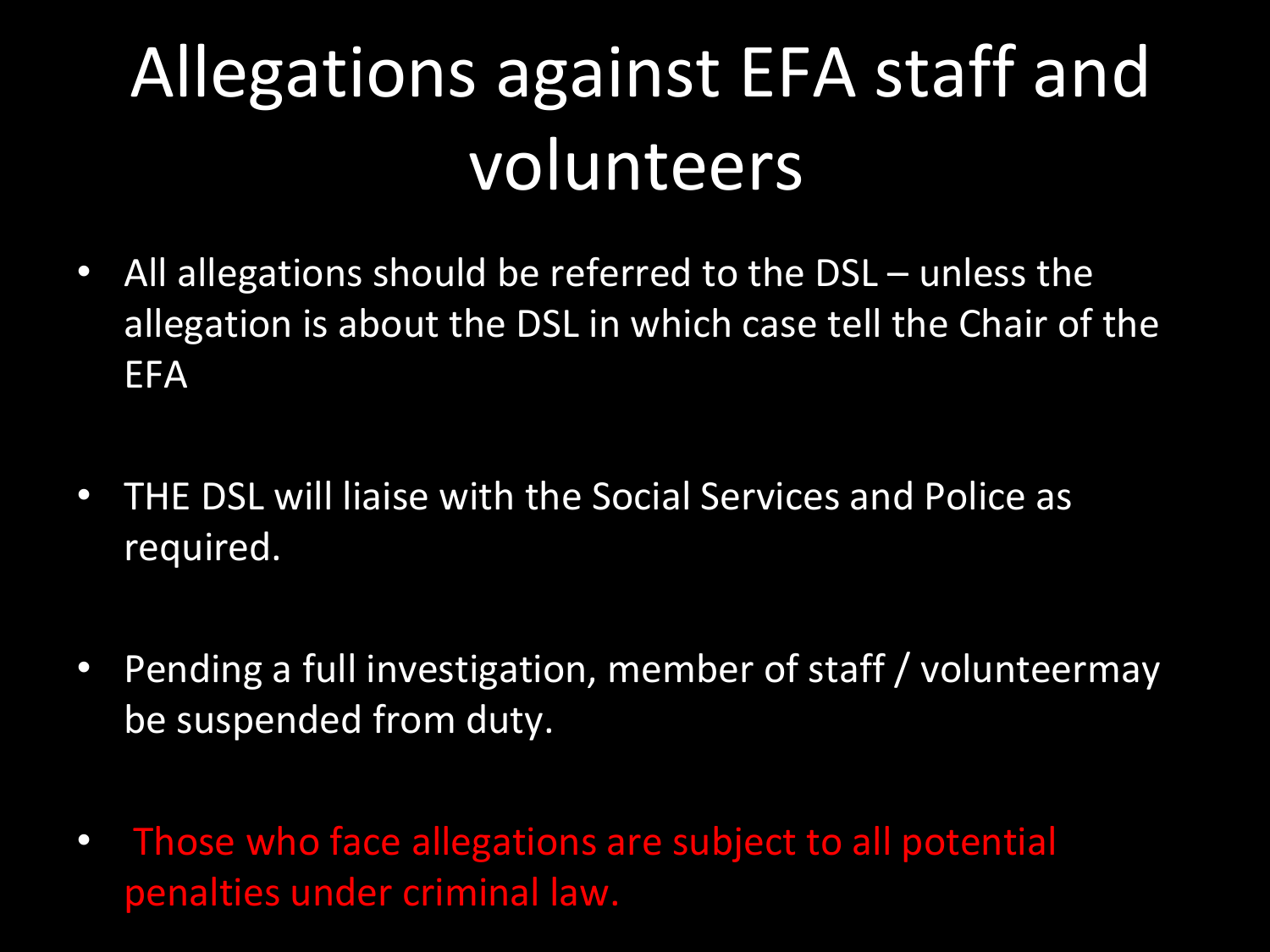# Allegations against EFA staff and volunteers

- All allegations should be referred to the DSL unless the allegation is about the DSL in which case tell the Chair of the EFA
- THE DSL will liaise with the Social Services and Police as required.
- Pending a full investigation, member of staff / volunteermay be suspended from duty.
- Those who face allegations are subject to all potential penalties under criminal law.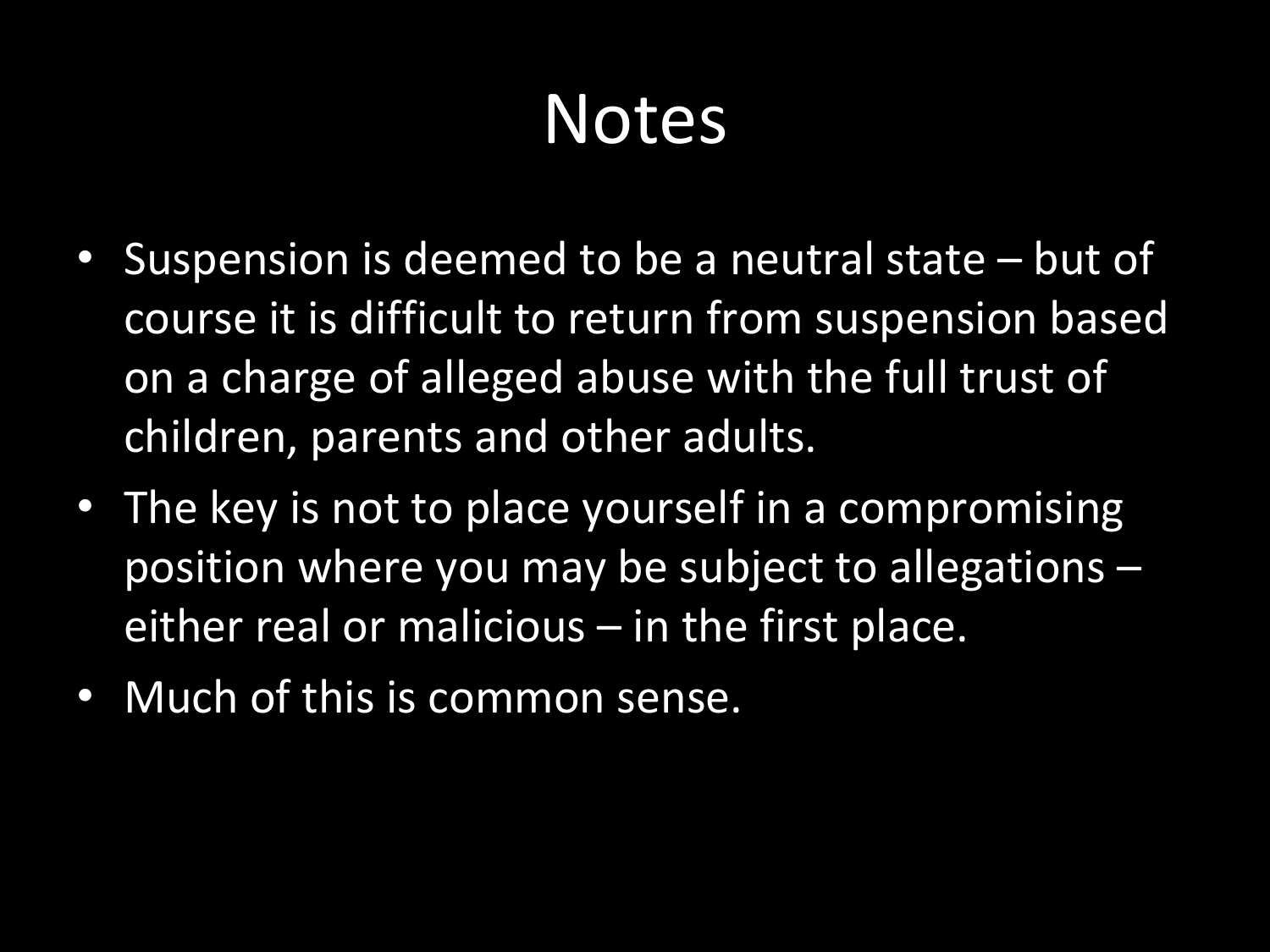#### Notes

- Suspension is deemed to be a neutral state but of course it is difficult to return from suspension based on a charge of alleged abuse with the full trust of children, parents and other adults.
- The key is not to place yourself in a compromising position where you may be subject to allegations – either real or malicious  $-$  in the first place.
- Much of this is common sense.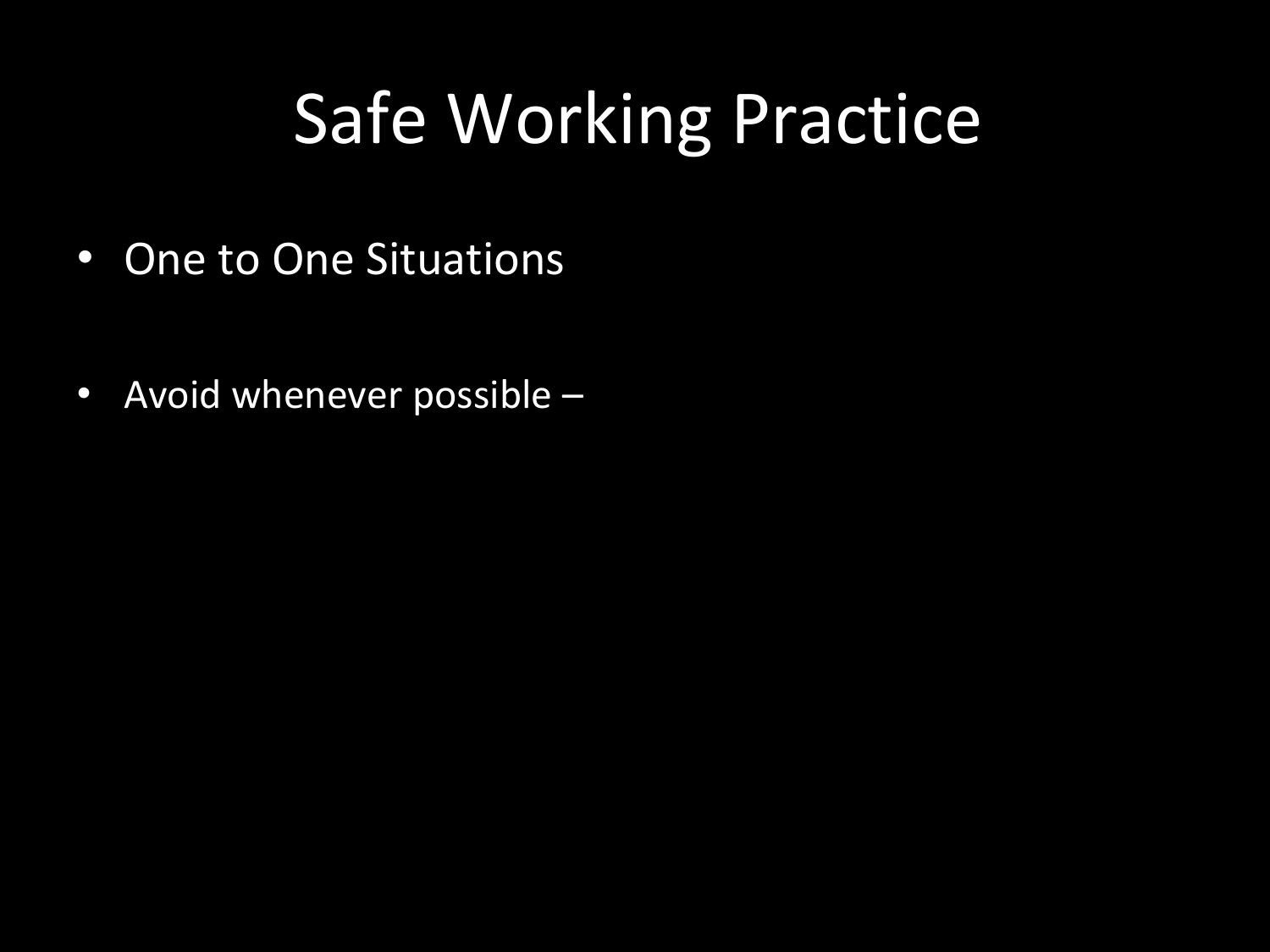#### Safe Working Practice

- One to One Situations
- Avoid whenever possible –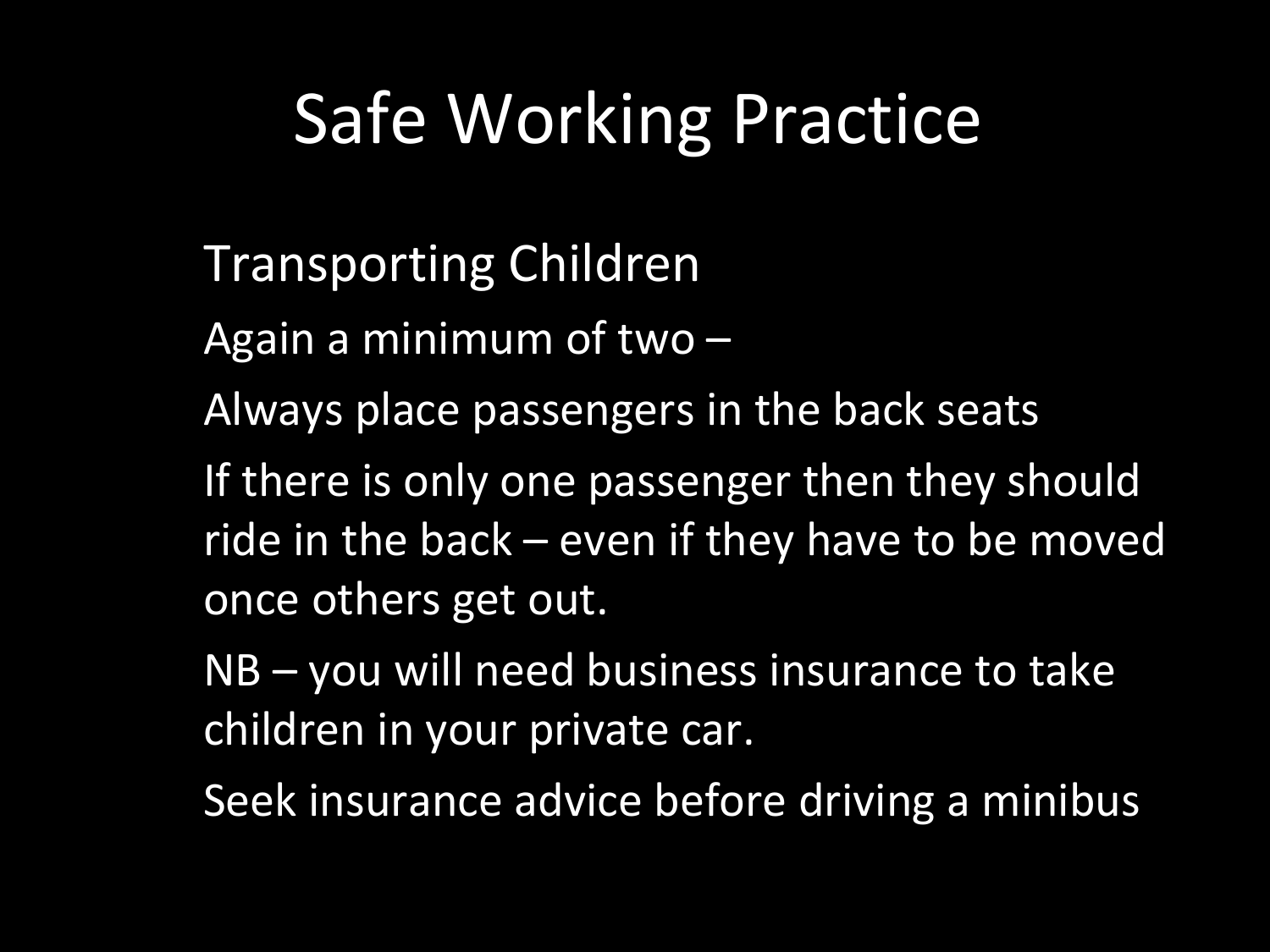#### Safe Working Practice

- Transporting Children
- Again a minimum of two –
- Always place passengers in the back seats
- If there is only one passenger then they should ride in the back – even if they have to be moved once others get out.
- NB you will need business insurance to take children in your private car.
- Seek insurance advice before driving a minibus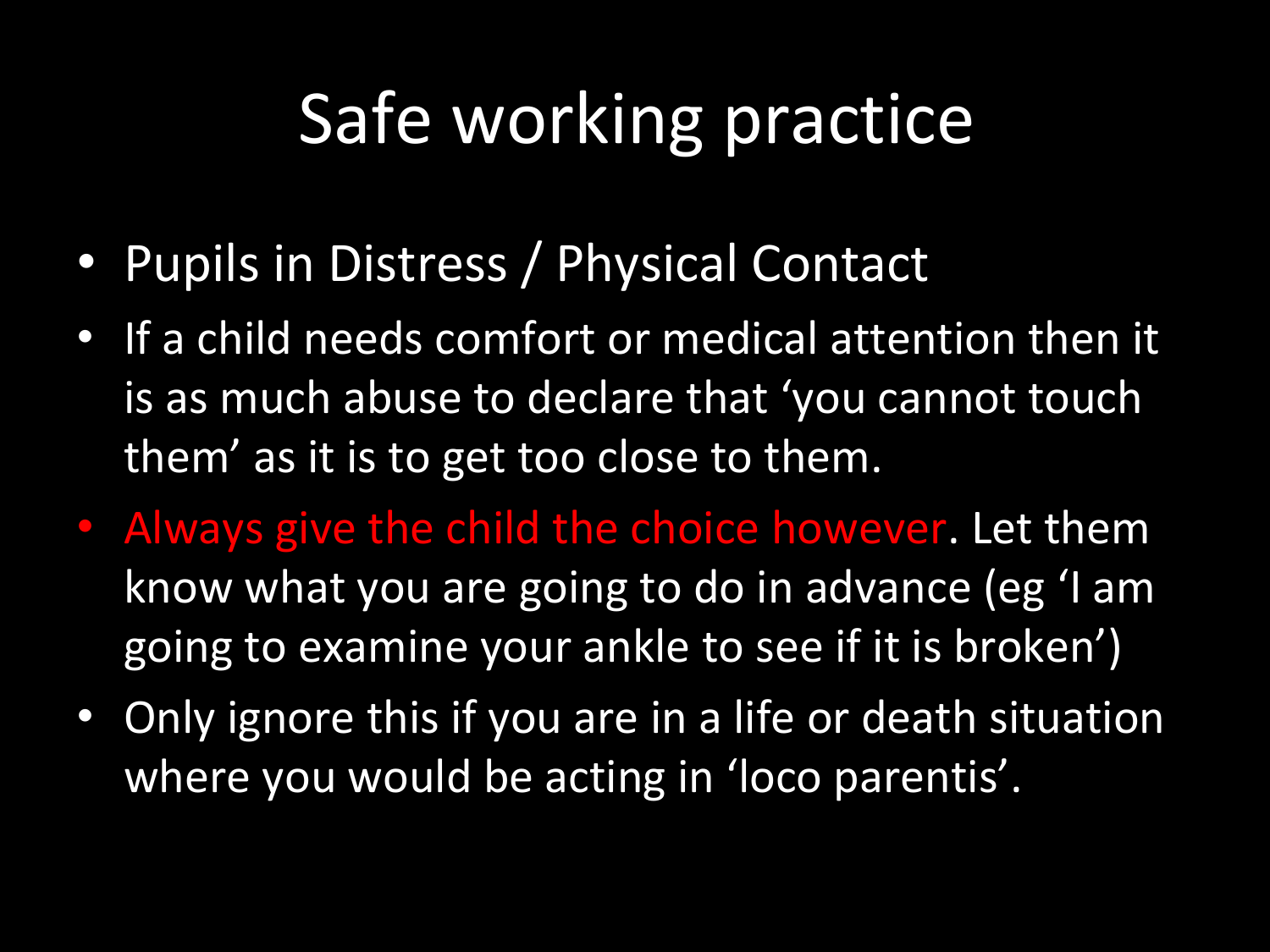## Safe working practice

- Pupils in Distress / Physical Contact
- If a child needs comfort or medical attention then it is as much abuse to declare that 'you cannot touch them' as it is to get too close to them.
- Always give the child the choice however. Let them know what you are going to do in advance (eg 'I am going to examine your ankle to see if it is broken')
- Only ignore this if you are in a life or death situation where you would be acting in 'loco parentis'.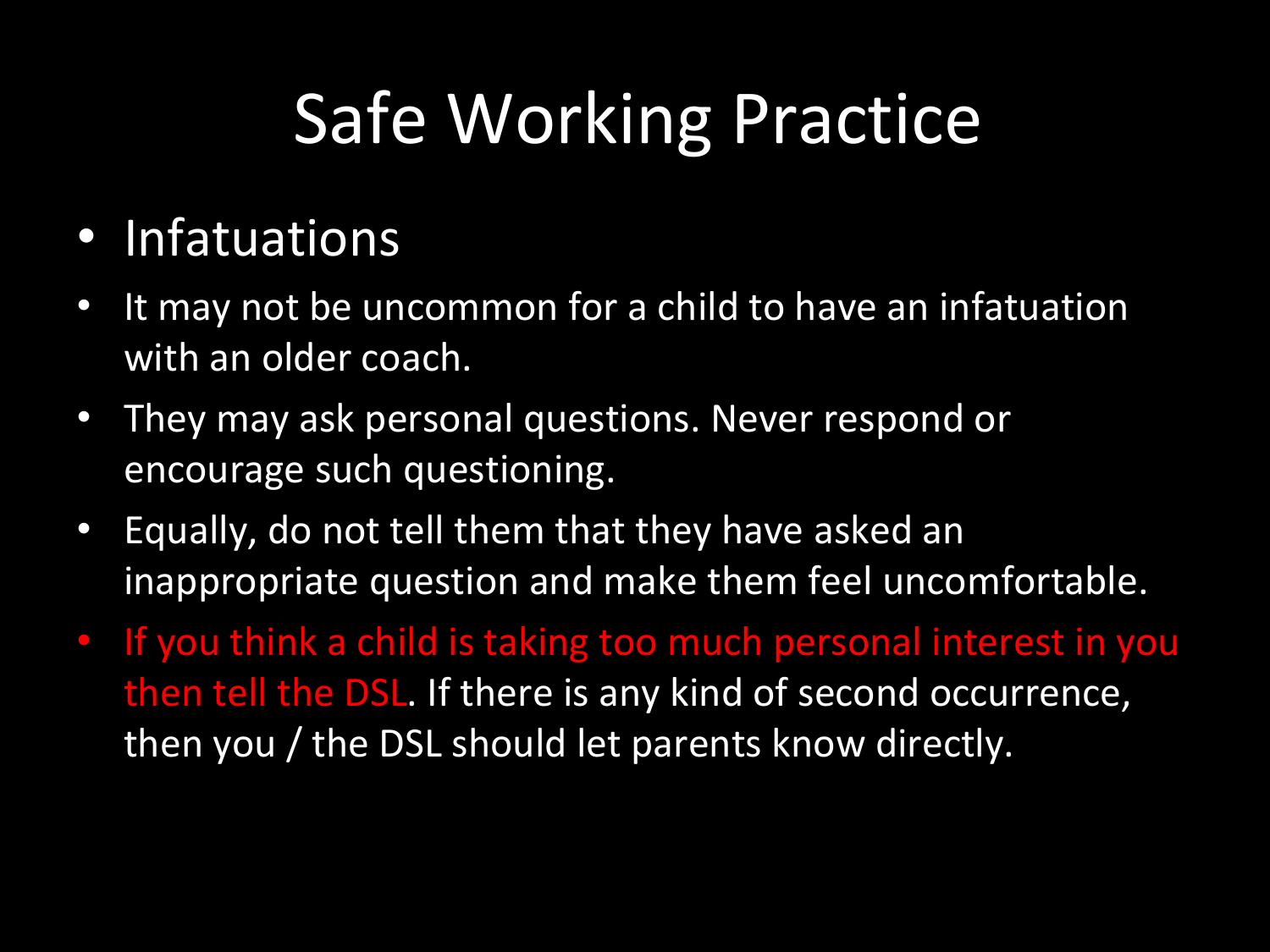## Safe Working Practice

#### • Infatuations

- It may not be uncommon for a child to have an infatuation with an older coach.
- They may ask personal questions. Never respond or encourage such questioning.
- Equally, do not tell them that they have asked an inappropriate question and make them feel uncomfortable.
- If you think a child is taking too much personal interest in you then tell the DSL. If there is any kind of second occurrence, then you / the DSL should let parents know directly.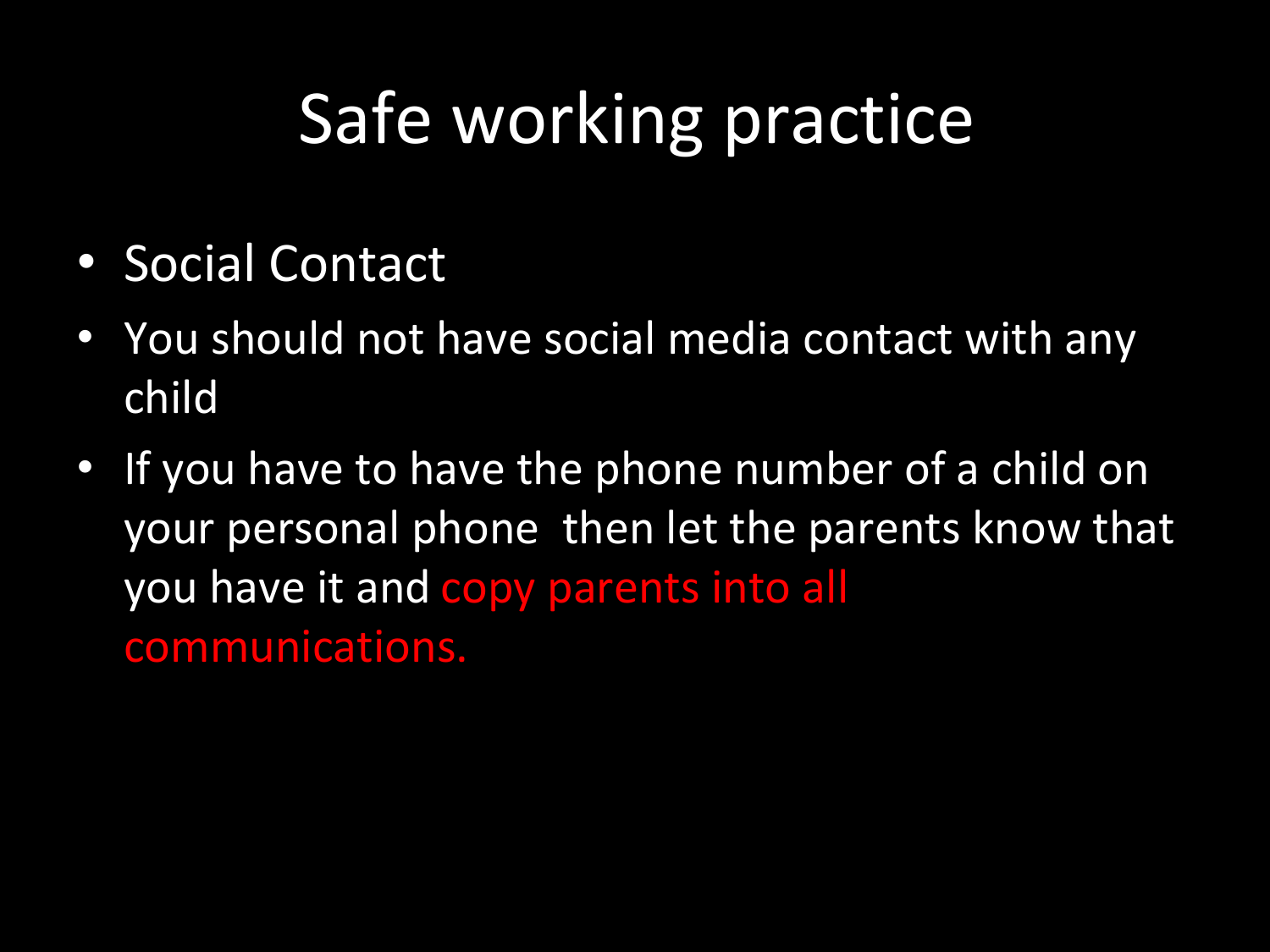## Safe working practice

- Social Contact
- You should not have social media contact with any child
- If you have to have the phone number of a child on your personal phone then let the parents know that you have it and copy parents into all communications.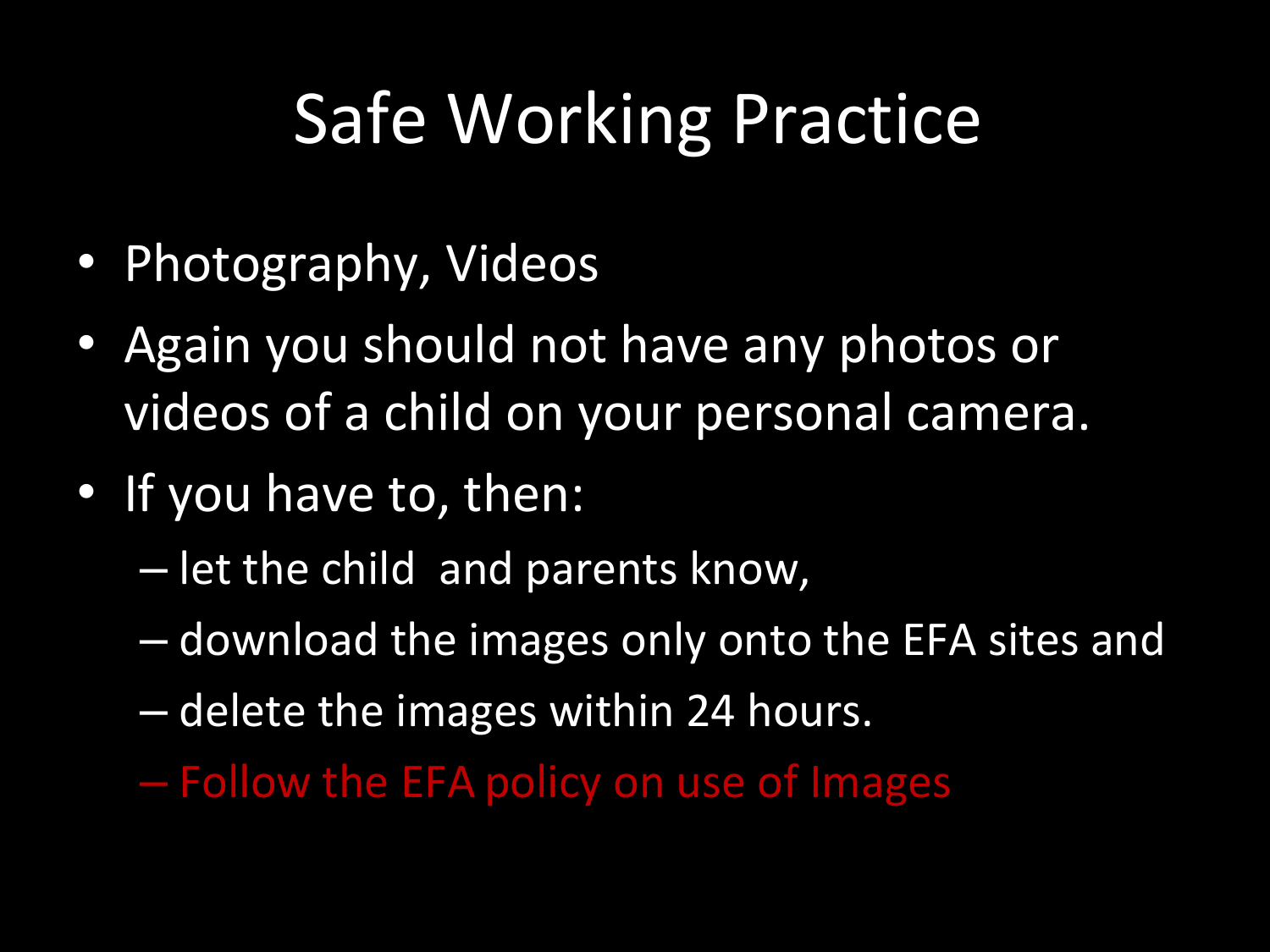### Safe Working Practice

- Photography, Videos
- Again you should not have any photos or videos of a child on your personal camera.
- If you have to, then:
	- let the child and parents know,
	- download the images only onto the EFA sites and
	- delete the images within 24 hours.
	- Follow the EFA policy on use of Images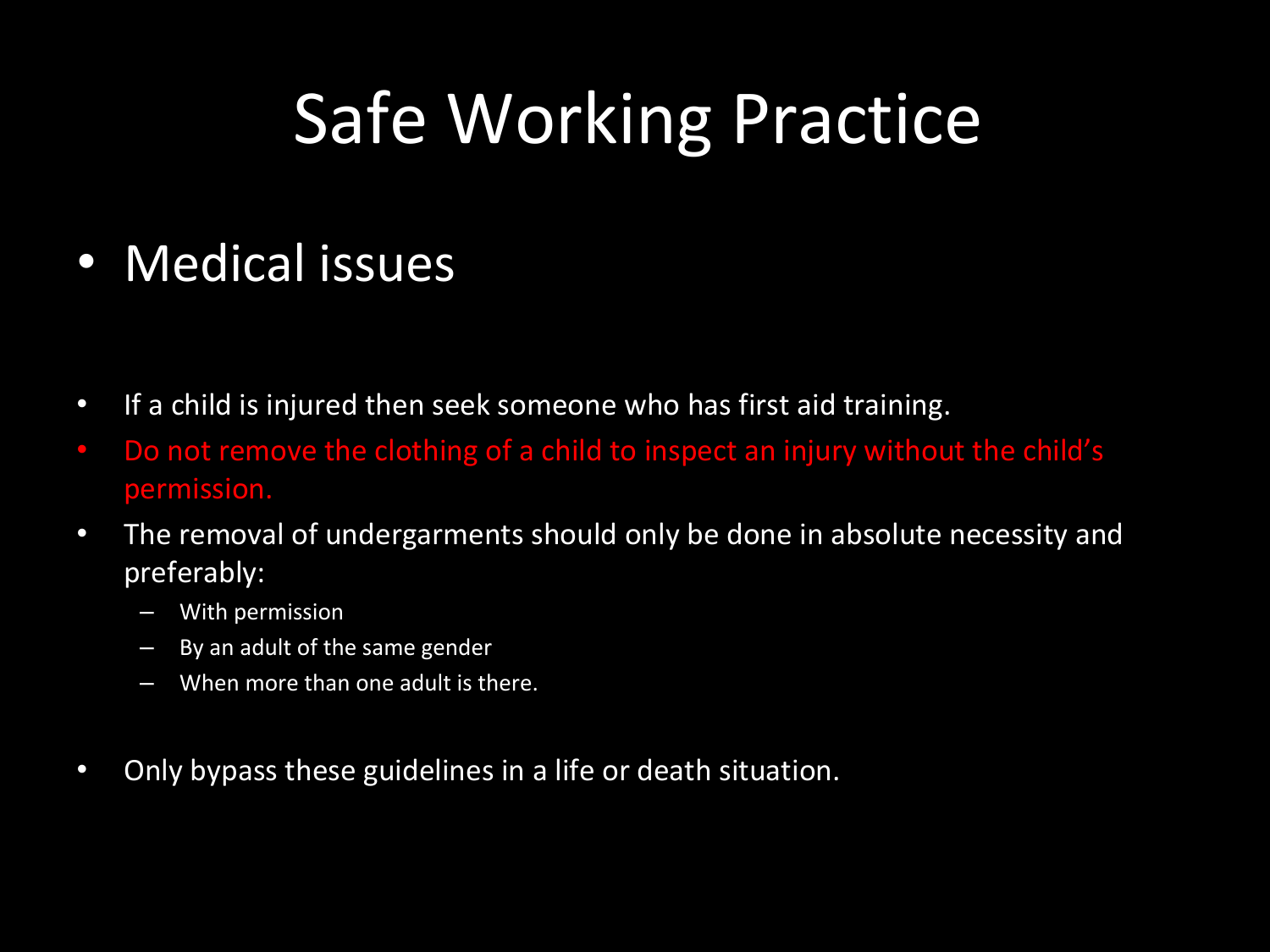#### Safe Working Practice

#### • Medical issues

- If a child is injured then seek someone who has first aid training.
- Do not remove the clothing of a child to inspect an injury without the child's permission.
- The removal of undergarments should only be done in absolute necessity and preferably:
	- With permission
	- By an adult of the same gender
	- When more than one adult is there.
- Only bypass these guidelines in a life or death situation.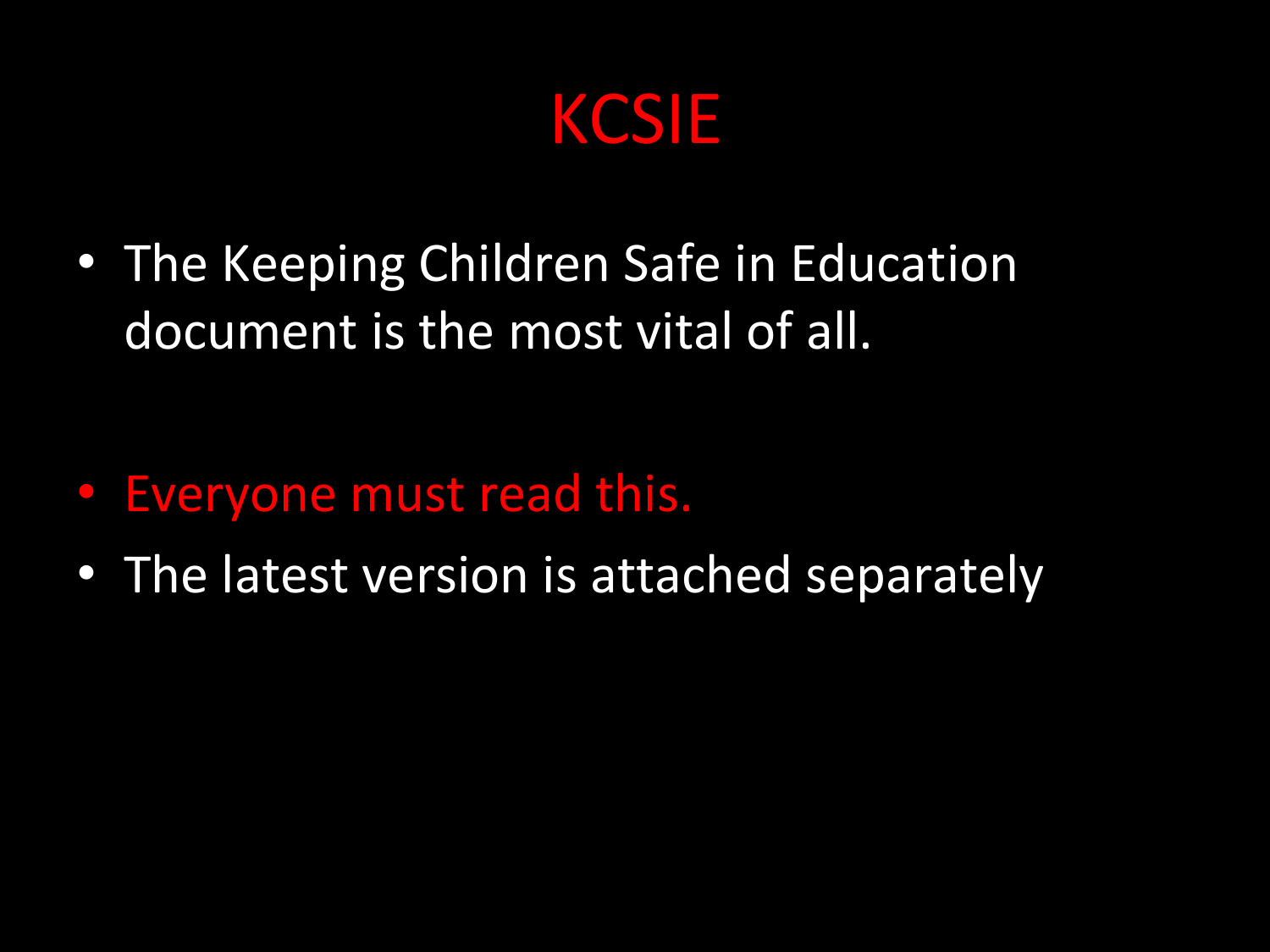KCSIE

• The Keeping Children Safe in Education document is the most vital of all.

- Everyone must read this.
- The latest version is attached separately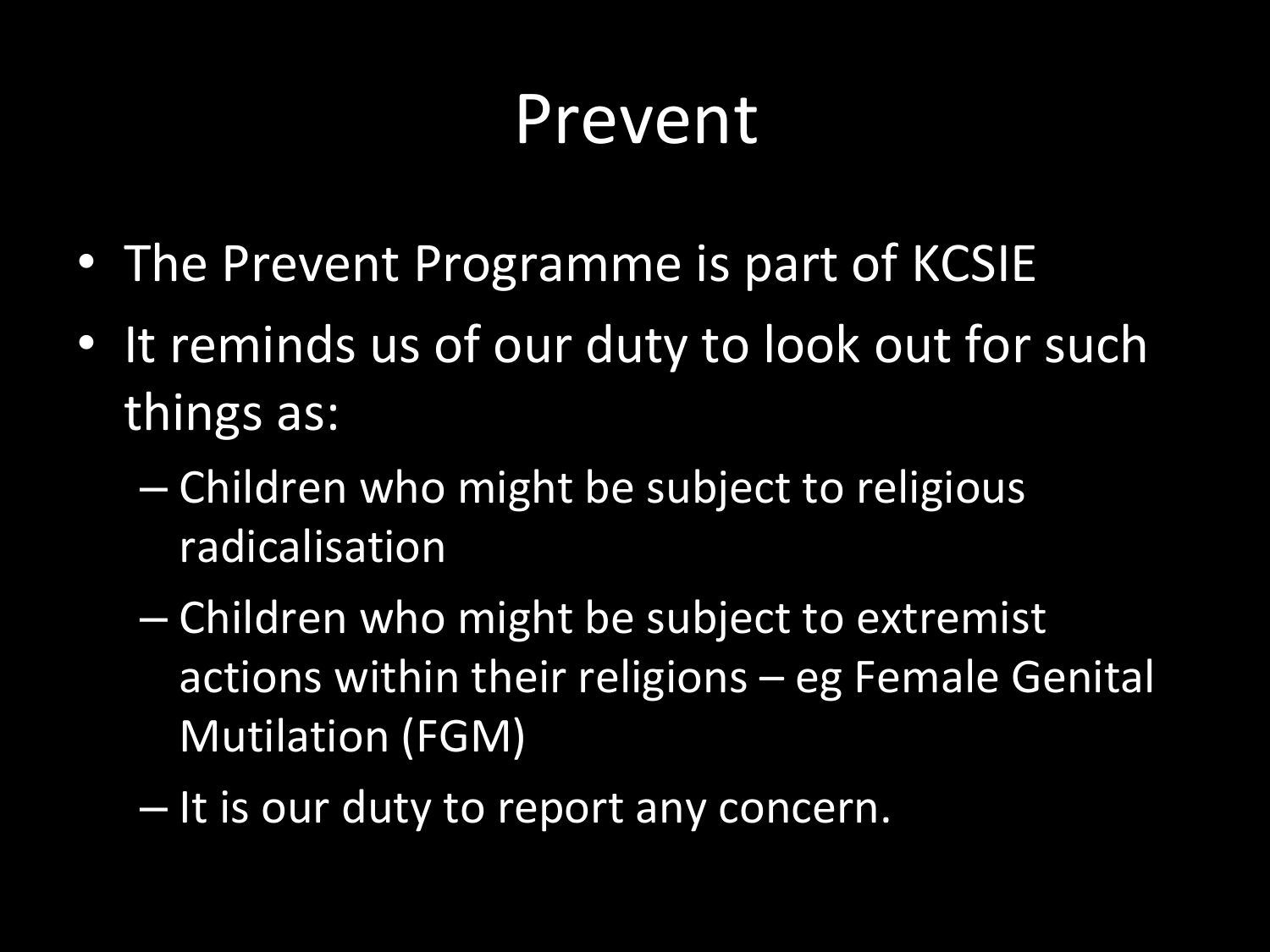#### Prevent

- The Prevent Programme is part of KCSIE
- It reminds us of our duty to look out for such things as:
	- Children who might be subject to religious radicalisation
	- Children who might be subject to extremist actions within their religions – eg Female Genital Mutilation (FGM)
	- It is our duty to report any concern.